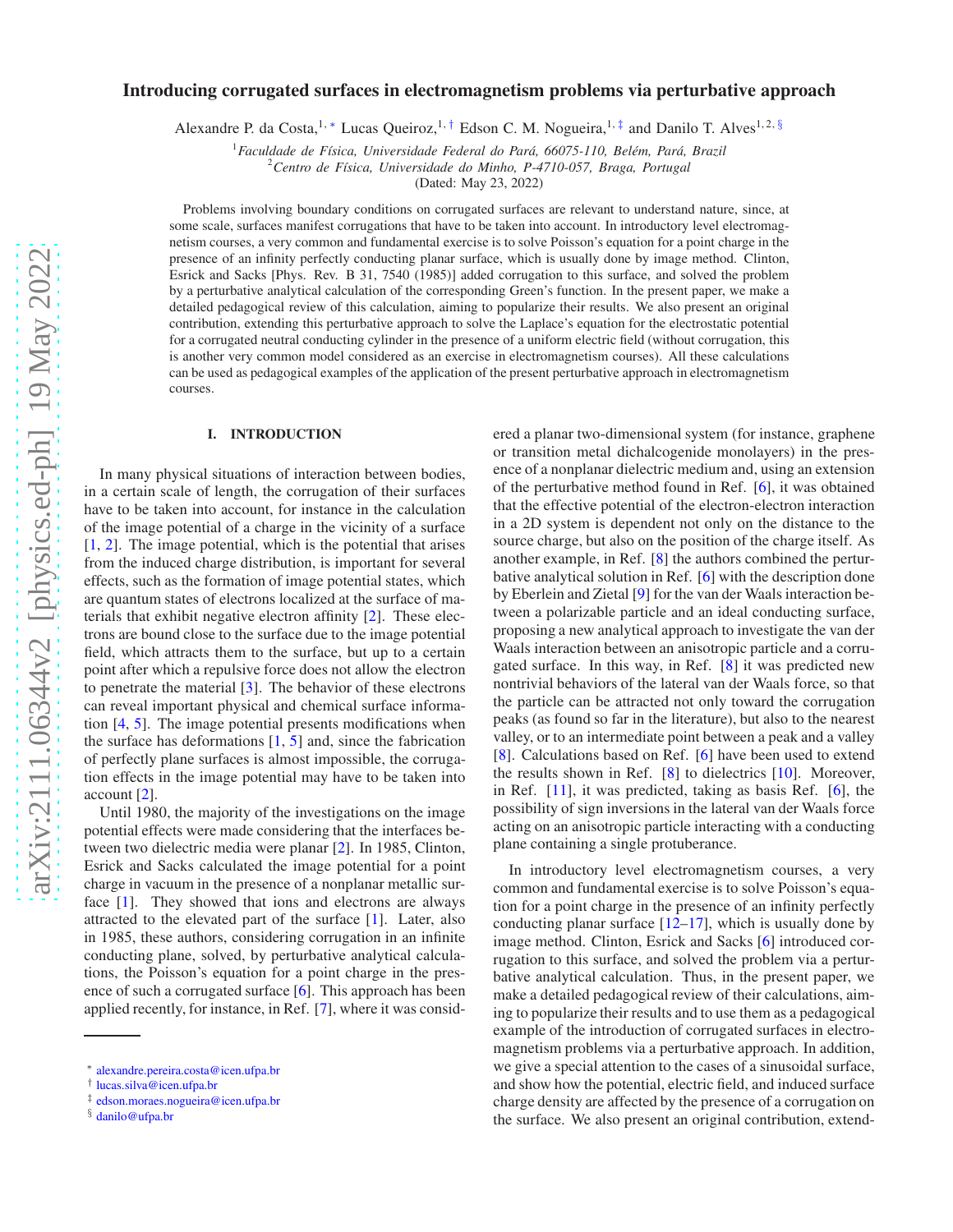# Introducing corrugated surfaces in electromagnetism problems via perturbative approach

Alexandre P. da Costa,<sup>1, \*</sup> Lucas Queiroz,<sup>1,[†](#page-0-1)</sup> Edson C. M. Nogueira,<sup>1,[‡](#page-0-2)</sup> and Danilo T. Alves<sup>1,2, [§](#page-0-3)</sup>

<sup>1</sup>*Faculdade de Física, Universidade Federal do Pará, 66075-110, Belém, Pará, Brazil*

<sup>2</sup>*Centro de Física, Universidade do Minho, P-4710-057, Braga, Portugal*

(Dated: May 23, 2022)

Problems involving boundary conditions on corrugated surfaces are relevant to understand nature, since, at some scale, surfaces manifest corrugations that have to be taken into account. In introductory level electromagnetism courses, a very common and fundamental exercise is to solve Poisson's equation for a point charge in the presence of an infinity perfectly conducting planar surface, which is usually done by image method. Clinton, Esrick and Sacks [Phys. Rev. B 31, 7540 (1985)] added corrugation to this surface, and solved the problem by a perturbative analytical calculation of the corresponding Green's function. In the present paper, we make a detailed pedagogical review of this calculation, aiming to popularize their results. We also present an original contribution, extending this perturbative approach to solve the Laplace's equation for the electrostatic potential for a corrugated neutral conducting cylinder in the presence of a uniform electric field (without corrugation, this is another very common model considered as an exercise in electromagnetism courses). All these calculations can be used as pedagogical examples of the application of the present perturbative approach in electromagnetism courses.

#### I. INTRODUCTION

In many physical situations of interaction between bodies, in a certain scale of length, the corrugation of their surfaces have to be taken into account, for instance in the calculation of the image potential of a charge in the vicinity of a surface [\[1](#page-13-0), [2\]](#page-13-1). The image potential, which is the potential that arises from the induced charge distribution, is important for several effects, such as the formation of image potential states, which are quantum states of electrons localized at the surface of materials that exhibit negative electron affinity [\[2\]](#page-13-1). These electrons are bound close to the surface due to the image potential field, which attracts them to the surface, but up to a certain point after which a repulsive force does not allow the electron to penetrate the material [\[3\]](#page-13-2). The behavior of these electrons can reveal important physical and chemical surface information [\[4,](#page-13-3) [5](#page-13-4)]. The image potential presents modifications when the surface has deformations  $[1, 5]$  $[1, 5]$  $[1, 5]$  and, since the fabrication of perfectly plane surfaces is almost impossible, the corrugation effects in the image potential may have to be taken into account [\[2\]](#page-13-1).

Until 1980, the majority of the investigations on the image potential effects were made considering that the interfaces between two dielectric media were planar [\[2\]](#page-13-1). In 1985, Clinton, Esrick and Sacks calculated the image potential for a point charge in vacuum in the presence of a nonplanar metallic surface [\[1](#page-13-0)]. They showed that ions and electrons are always attracted to the elevated part of the surface [\[1](#page-13-0)]. Later, also in 1985, these authors, considering corrugation in an infinite conducting plane, solved, by perturbative analytical calculations, the Poisson's equation for a point charge in the presence of such a corrugated surface [\[6\]](#page-13-5). This approach has been applied recently, for instance, in Ref. [\[7](#page-14-0)], where it was considered a planar two-dimensional system (for instance, graphene or transition metal dichalcogenide monolayers) in the presence of a nonplanar dielectric medium and, using an extension of the perturbative method found in Ref. [\[6\]](#page-13-5), it was obtained that the effective potential of the electron-electron interaction in a 2D system is dependent not only on the distance to the source charge, but also on the position of the charge itself. As another example, in Ref. [\[8\]](#page-14-1) the authors combined the perturbative analytical solution in Ref. [\[6\]](#page-13-5) with the description done by Eberlein and Zietal [\[9\]](#page-14-2) for the van der Waals interaction between a polarizable particle and an ideal conducting surface, proposing a new analytical approach to investigate the van der Waals interaction between an anisotropic particle and a corrugated surface. In this way, in Ref. [\[8](#page-14-1)] it was predicted new nontrivial behaviors of the lateral van der Waals force, so that the particle can be attracted not only toward the corrugation peaks (as found so far in the literature), but also to the nearest valley, or to an intermediate point between a peak and a valley [\[8](#page-14-1)]. Calculations based on Ref. [\[6](#page-13-5)] have been used to extend the results shown in Ref. [\[8\]](#page-14-1) to dielectrics [\[10](#page-14-3)]. Moreover, in Ref. [\[11\]](#page-14-4), it was predicted, taking as basis Ref. [\[6](#page-13-5)], the possibility of sign inversions in the lateral van der Waals force acting on an anisotropic particle interacting with a conducting plane containing a single protuberance.

In introductory level electromagnetism courses, a very common and fundamental exercise is to solve Poisson's equation for a point charge in the presence of an infinity perfectly conducting planar surface  $[12-17]$ , which is usually done by image method. Clinton, Esrick and Sacks [\[6\]](#page-13-5) introduced corrugation to this surface, and solved the problem via a perturbative analytical calculation. Thus, in the present paper, we make a detailed pedagogical review of their calculations, aiming to popularize their results and to use them as a pedagogical example of the introduction of corrugated surfaces in electromagnetism problems via a perturbative approach. In addition, we give a special attention to the cases of a sinusoidal surface, and show how the potential, electric field, and induced surface charge density are affected by the presence of a corrugation on the surface. We also present an original contribution, extend-

<span id="page-0-0"></span><sup>∗</sup> [alexandre.pereira.costa@icen.ufpa.br](mailto:alexandre.pereira.costa@icen.ufpa.br)

<span id="page-0-1"></span><sup>†</sup> [lucas.silva@icen.ufpa.br](mailto:lucas.silva@icen.ufpa.br)

<span id="page-0-2"></span><sup>‡</sup> [edson.moraes.nogueira@icen.ufpa.br](mailto:edson.moraes.nogueira@icen.ufpa.br)

<span id="page-0-3"></span><sup>§</sup> [danilo@ufpa.br](mailto:danilo@ufpa.br)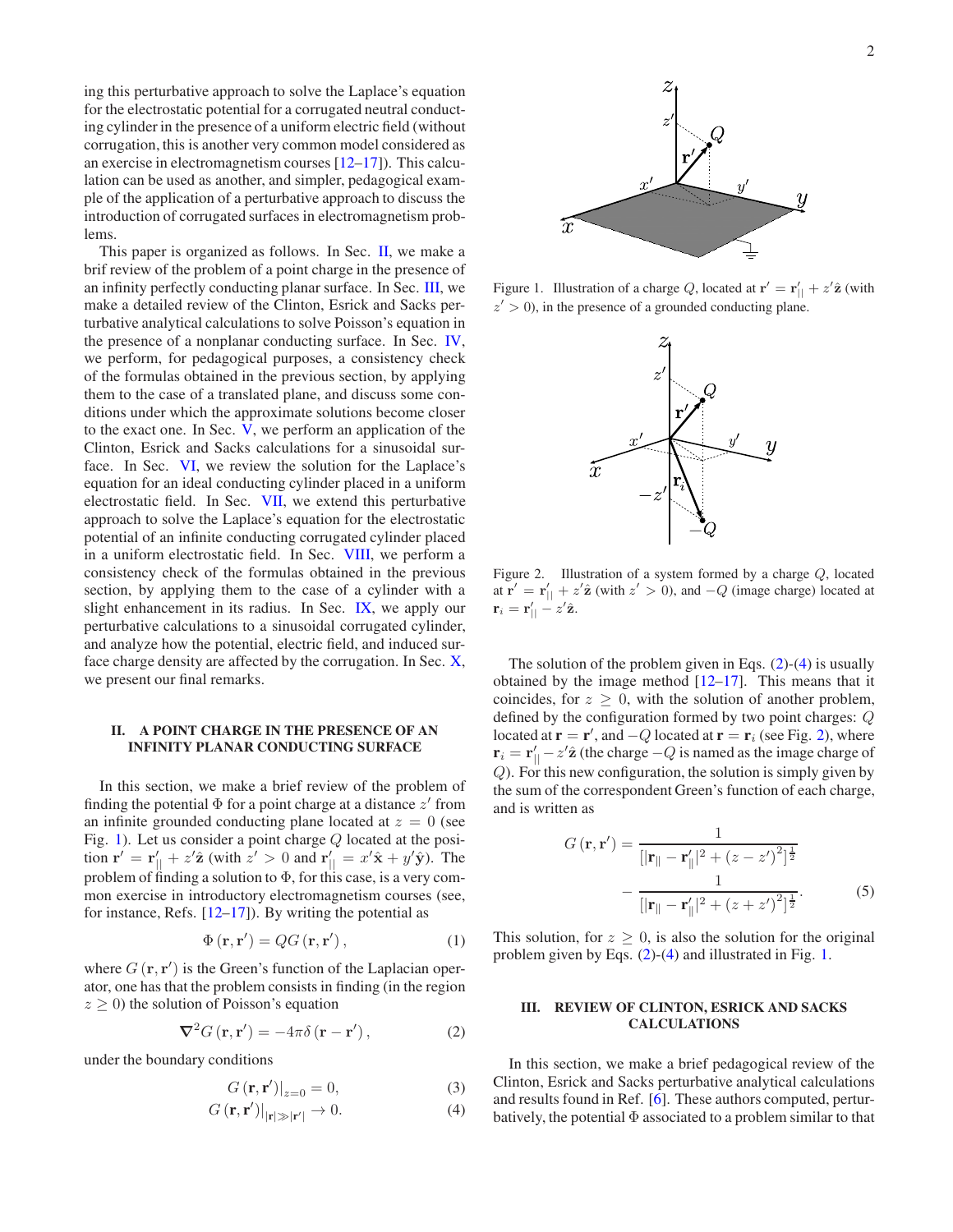ing this perturbative approach to solve the Laplace's equation for the electrostatic potential for a corrugated neutral conducting cylinder in the presence of a uniform electric field (without corrugation, this is another very common model considered as an exercise in electromagnetism courses [\[12](#page-14-5)[–17\]](#page-14-6)). This calculation can be used as another, and simpler, pedagogical example of the application of a perturbative approach to discuss the introduction of corrugated surfaces in electromagnetism problems.

This paper is organized as follows. In Sec. [II,](#page-1-0) we make a brif review of the problem of a point charge in the presence of an infinity perfectly conducting planar surface. In Sec. [III,](#page-1-1) we make a detailed review of the Clinton, Esrick and Sacks perturbative analytical calculations to solve Poisson's equation in the presence of a nonplanar conducting surface. In Sec. [IV,](#page-4-0) we perform, for pedagogical purposes, a consistency check of the formulas obtained in the previous section, by applying them to the case of a translated plane, and discuss some conditions under which the approximate solutions become closer to the exact one. In Sec. [V,](#page-5-0) we perform an application of the Clinton, Esrick and Sacks calculations for a sinusoidal surface. In Sec. [VI,](#page-6-0) we review the solution for the Laplace's equation for an ideal conducting cylinder placed in a uniform electrostatic field. In Sec. [VII,](#page-7-0) we extend this perturbative approach to solve the Laplace's equation for the electrostatic potential of an infinite conducting corrugated cylinder placed in a uniform electrostatic field. In Sec. [VIII,](#page-10-0) we perform a consistency check of the formulas obtained in the previous section, by applying them to the case of a cylinder with a slight enhancement in its radius. In Sec. [IX,](#page-10-1) we apply our perturbative calculations to a sinusoidal corrugated cylinder, and analyze how the potential, electric field, and induced surface charge density are affected by the corrugation. In Sec. [X,](#page-10-2) we present our final remarks.

# <span id="page-1-0"></span>II. A POINT CHARGE IN THE PRESENCE OF AN INFINITY PLANAR CONDUCTING SURFACE

In this section, we make a brief review of the problem of finding the potential  $\Phi$  for a point charge at a distance  $z'$  from an infinite grounded conducting plane located at  $z = 0$  (see Fig. [1\)](#page-1-2). Let us consider a point charge Q located at the position  $\mathbf{r}' = \mathbf{r}'_{||} + z'\hat{\mathbf{z}}$  (with  $z' > 0$  and  $\mathbf{r}'_{||} = x'\hat{\mathbf{x}} + y'\hat{\mathbf{y}}$ ). The problem of finding a solution to  $\Phi$ , for this case, is a very common exercise in introductory electromagnetism courses (see, for instance, Refs.  $[12-17]$ ). By writing the potential as

$$
\Phi(\mathbf{r}, \mathbf{r}') = QG(\mathbf{r}, \mathbf{r}'),\tag{1}
$$

where  $G(\mathbf{r}, \mathbf{r}')$  is the Green's function of the Laplacian operator, one has that the problem consists in finding (in the region  $z \geq 0$ ) the solution of Poisson's equation

<span id="page-1-3"></span>
$$
\nabla^2 G(\mathbf{r}, \mathbf{r}') = -4\pi \delta(\mathbf{r} - \mathbf{r}'),\tag{2}
$$

under the boundary conditions

$$
G\left(\mathbf{r},\mathbf{r}'\right)\big|_{z=0}=0,\tag{3}
$$

$$
G(\mathbf{r}, \mathbf{r}')|_{|\mathbf{r}| \gg |\mathbf{r}'|} \to 0. \tag{4}
$$



Figure 1. Illustration of a charge Q, located at  $\mathbf{r}' = \mathbf{r}'_{||} + z' \hat{\mathbf{z}}$  (with  $z' > 0$ ), in the presence of a grounded conducting plane.

<span id="page-1-2"></span>

<span id="page-1-5"></span>Figure 2. Illustration of a system formed by a charge Q, located at  $\mathbf{r}' = \mathbf{r}'_{||} + z'\hat{\mathbf{z}}$  (with  $z' > 0$ ), and  $-Q$  (image charge) located at  $\mathbf{r}_i = \mathbf{r}'_{||} - z' \hat{\mathbf{z}}.$ 

The solution of the problem given in Eqs.  $(2)-(4)$  $(2)-(4)$  $(2)-(4)$  is usually obtained by the image method  $[12-17]$  $[12-17]$ . This means that it coincides, for  $z \geq 0$ , with the solution of another problem, defined by the configuration formed by two point charges: Q located at  $\mathbf{r} = \mathbf{r}'$ , and  $-Q$  located at  $\mathbf{r} = \mathbf{r}_i$  (see Fig. [2\)](#page-1-5), where  $\mathbf{r}_i = \mathbf{r}'_{||} - z'\hat{\mathbf{z}}$  (the charge  $-Q$  is named as the image charge of Q). For this new configuration, the solution is simply given by the sum of the correspondent Green's function of each charge, and is written as

<span id="page-1-6"></span>
$$
G(\mathbf{r}, \mathbf{r}') = \frac{1}{[|\mathbf{r}_{\parallel} - \mathbf{r}'_{\parallel}|^2 + (z - z')^2]^{\frac{1}{2}}}
$$

$$
-\frac{1}{[|\mathbf{r}_{\parallel} - \mathbf{r}'_{\parallel}|^2 + (z + z')^2]^{\frac{1}{2}}}.
$$
(5)

This solution, for  $z \geq 0$ , is also the solution for the original problem given by Eqs. [\(2\)](#page-1-3)-[\(4\)](#page-1-4) and illustrated in Fig. [1.](#page-1-2)

# <span id="page-1-1"></span>III. REVIEW OF CLINTON, ESRICK AND SACKS **CALCULATIONS**

<span id="page-1-4"></span>In this section, we make a brief pedagogical review of the Clinton, Esrick and Sacks perturbative analytical calculations and results found in Ref. [\[6](#page-13-5)]. These authors computed, perturbatively, the potential  $\Phi$  associated to a problem similar to that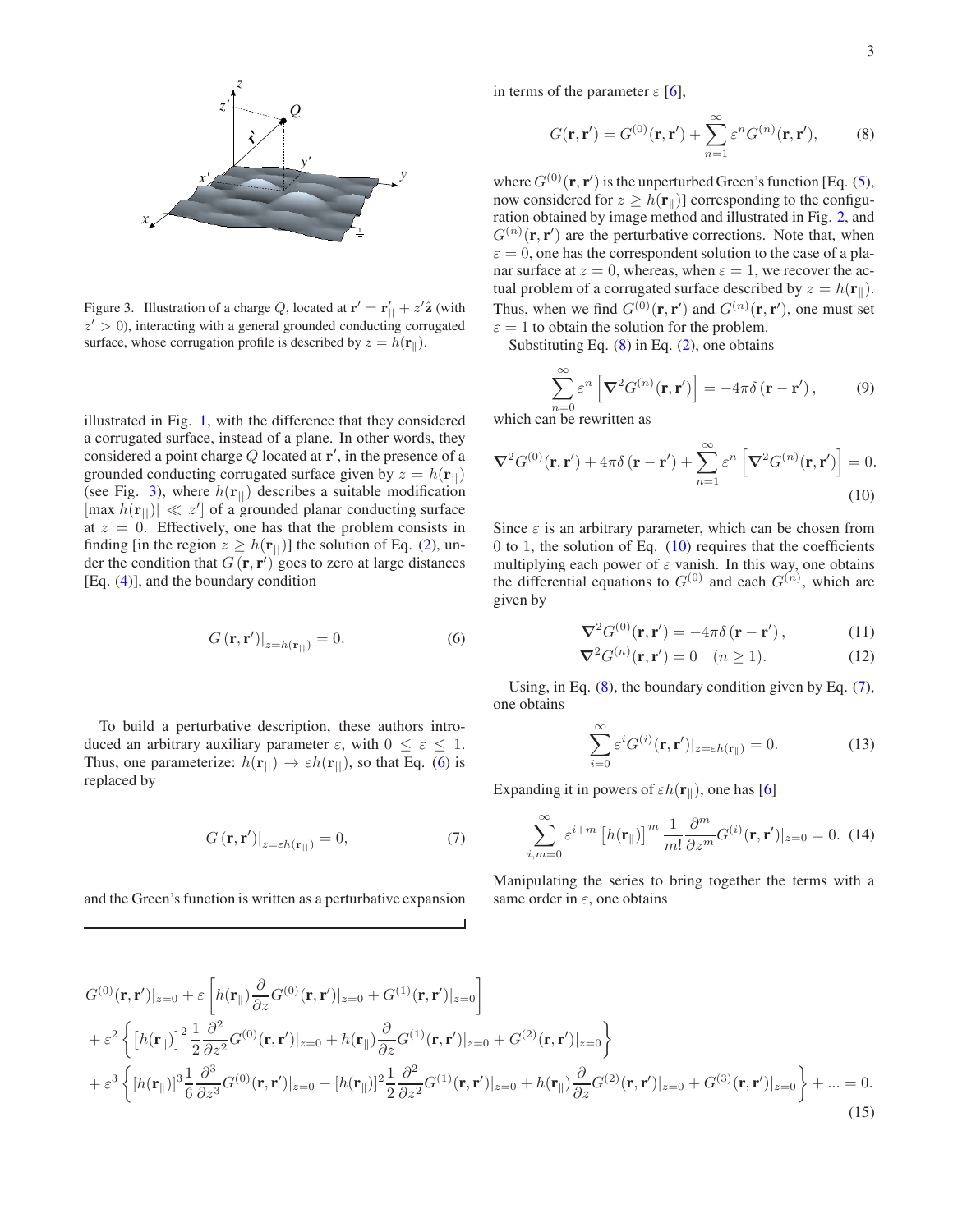

<span id="page-2-0"></span>Figure 3. Illustration of a charge Q, located at  $\mathbf{r}' = \mathbf{r}'_{||} + z'\hat{\mathbf{z}}$  (with  $z' > 0$ ), interacting with a general grounded conducting corrugated surface, whose corrugation profile is described by  $z = h(\mathbf{r}_{\parallel}).$ 

illustrated in Fig. [1,](#page-1-2) with the difference that they considered a corrugated surface, instead of a plane. In other words, they considered a point charge  $Q$  located at  $r'$ , in the presence of a grounded conducting corrugated surface given by  $z = h(\mathbf{r}_{\parallel})$ (see Fig. [3\)](#page-2-0), where  $h(\mathbf{r}_{\parallel})$  describes a suitable modification  $[\max|h(\mathbf{r}_{||})] \ll z']$  of a grounded planar conducting surface at  $z = 0$ . Effectively, one has that the problem consists in finding [in the region  $z \geq h(\mathbf{r}_{\vert\vert})$ ] the solution of Eq. [\(2\)](#page-1-3), under the condition that  $G(\mathbf{r}, \mathbf{r}')$  goes to zero at large distances [Eq. [\(4\)](#page-1-4)], and the boundary condition

<span id="page-2-1"></span>
$$
G(\mathbf{r}, \mathbf{r}')|_{z=h(\mathbf{r}_{||})} = 0.
$$
 (6)

To build a perturbative description, these authors introduced an arbitrary auxiliary parameter  $\varepsilon$ , with  $0 \le \varepsilon \le 1$ . Thus, one parameterize:  $h(\mathbf{r}_{\parallel}) \rightarrow \varepsilon h(\mathbf{r}_{\parallel})$ , so that Eq. [\(6\)](#page-2-1) is replaced by

<span id="page-2-4"></span>
$$
G(\mathbf{r}, \mathbf{r}')|_{z=\varepsilon h(\mathbf{r}_{||})} = 0,\tag{7}
$$

and the Green's function is written as a perturbative expansion

in terms of the parameter  $\varepsilon$  [\[6](#page-13-5)],

<span id="page-2-2"></span>
$$
G(\mathbf{r}, \mathbf{r}') = G^{(0)}(\mathbf{r}, \mathbf{r}') + \sum_{n=1}^{\infty} \varepsilon^n G^{(n)}(\mathbf{r}, \mathbf{r}'), \quad (8)
$$

where  $G^{(0)}(\mathbf{r}, \mathbf{r}')$  is the unperturbed Green's function [Eq. [\(5\)](#page-1-6), now considered for  $z \ge h(\mathbf{r}_{\parallel})$  corresponding to the configuration obtained by image method and illustrated in Fig. [2,](#page-1-5) and  $G^{(n)}(\mathbf{r}, \mathbf{r}')$  are the perturbative corrections. Note that, when  $\varepsilon = 0$ , one has the correspondent solution to the case of a planar surface at  $z = 0$ , whereas, when  $\varepsilon = 1$ , we recover the actual problem of a corrugated surface described by  $z = h(\mathbf{r}_{\parallel}).$ Thus, when we find  $G^{(0)}(\mathbf{r}, \mathbf{r}')$  and  $G^{(n)}(\mathbf{r}, \mathbf{r}')$ , one must set  $\varepsilon = 1$  to obtain the solution for the problem.

Substituting Eq.  $(8)$  in Eq.  $(2)$ , one obtains

$$
\sum_{n=0}^{\infty} \varepsilon^n \left[ \nabla^2 G^{(n)}(\mathbf{r}, \mathbf{r}') \right] = -4\pi \delta(\mathbf{r} - \mathbf{r}'), \tag{9}
$$

which can be rewritten as

$$
\nabla^2 G^{(0)}(\mathbf{r}, \mathbf{r}') + 4\pi \delta(\mathbf{r} - \mathbf{r}') + \sum_{n=1}^{\infty} \varepsilon^n \left[ \nabla^2 G^{(n)}(\mathbf{r}, \mathbf{r}') \right] = 0.
$$
\n(10)

Since  $\varepsilon$  is an arbitrary parameter, which can be chosen from 0 to 1, the solution of Eq. [\(10\)](#page-2-3) requires that the coefficients multiplying each power of  $\varepsilon$  vanish. In this way, one obtains the differential equations to  $G^{(0)}$  and each  $G^{(n)}$ , which are given by

<span id="page-2-6"></span><span id="page-2-3"></span>
$$
\nabla^2 G^{(0)}(\mathbf{r}, \mathbf{r}') = -4\pi \delta(\mathbf{r} - \mathbf{r}'),\tag{11}
$$

$$
\nabla^2 G^{(n)}(\mathbf{r}, \mathbf{r}') = 0 \quad (n \ge 1). \tag{12}
$$

Using, in Eq. [\(8\)](#page-2-2), the boundary condition given by Eq. [\(7\)](#page-2-4), one obtains

$$
\sum_{i=0}^{\infty} \varepsilon^i G^{(i)}(\mathbf{r}, \mathbf{r}')|_{z=\varepsilon h(\mathbf{r}_{\parallel})} = 0.
$$
 (13)

Expanding it in powers of  $\varepsilon h(\mathbf{r}_{\parallel})$ , one has [\[6\]](#page-13-5)

$$
\sum_{i,m=0}^{\infty} \varepsilon^{i+m} \left[ h(\mathbf{r}_{\parallel}) \right]^m \frac{1}{m!} \frac{\partial^m}{\partial z^m} G^{(i)}(\mathbf{r}, \mathbf{r}')|_{z=0} = 0. \tag{14}
$$

<span id="page-2-5"></span>Manipulating the series to bring together the terms with a same order in  $\varepsilon$ , one obtains

$$
G^{(0)}(\mathbf{r}, \mathbf{r}')|_{z=0} + \varepsilon \left[ h(\mathbf{r}_{\parallel}) \frac{\partial}{\partial z} G^{(0)}(\mathbf{r}, \mathbf{r}')|_{z=0} + G^{(1)}(\mathbf{r}, \mathbf{r}')|_{z=0} \right]
$$
  
+  $\varepsilon^2 \left\{ \left[ h(\mathbf{r}_{\parallel}) \right]^2 \frac{1}{2} \frac{\partial^2}{\partial z^2} G^{(0)}(\mathbf{r}, \mathbf{r}')|_{z=0} + h(\mathbf{r}_{\parallel}) \frac{\partial}{\partial z} G^{(1)}(\mathbf{r}, \mathbf{r}')|_{z=0} + G^{(2)}(\mathbf{r}, \mathbf{r}')|_{z=0} \right\}$   
+  $\varepsilon^3 \left\{ \left[ h(\mathbf{r}_{\parallel}) \right]^3 \frac{1}{6} \frac{\partial^3}{\partial z^3} G^{(0)}(\mathbf{r}, \mathbf{r}')|_{z=0} + \left[ h(\mathbf{r}_{\parallel}) \right]^2 \frac{1}{2} \frac{\partial^2}{\partial z^2} G^{(1)}(\mathbf{r}, \mathbf{r}')|_{z=0} + h(\mathbf{r}_{\parallel}) \frac{\partial}{\partial z} G^{(2)}(\mathbf{r}, \mathbf{r}')|_{z=0} + G^{(3)}(\mathbf{r}, \mathbf{r}')|_{z=0} \right\} + \dots = 0. \tag{15}$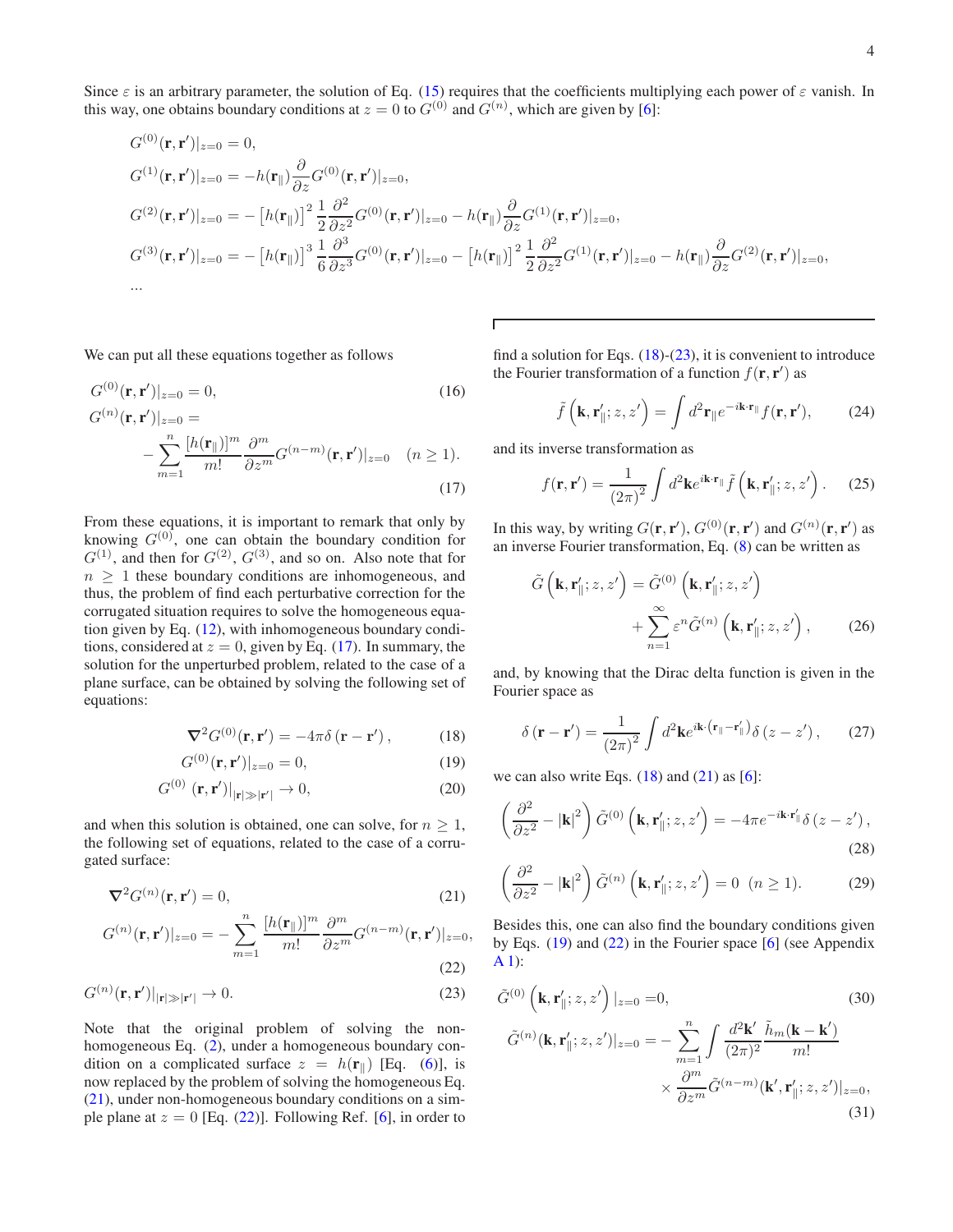Since  $\varepsilon$  is an arbitrary parameter, the solution of Eq. [\(15\)](#page-2-5) requires that the coefficients multiplying each power of  $\varepsilon$  vanish. In this way, one obtains boundary conditions at  $z = 0$  to  $G^{(0)}$  and  $G^{(n)}$ , which are given by [\[6\]](#page-13-5):

$$
G^{(0)}(\mathbf{r}, \mathbf{r}')|_{z=0} = 0,
$$
  
\n
$$
G^{(1)}(\mathbf{r}, \mathbf{r}')|_{z=0} = -h(\mathbf{r}_{\parallel}) \frac{\partial}{\partial z} G^{(0)}(\mathbf{r}, \mathbf{r}')|_{z=0},
$$
  
\n
$$
G^{(2)}(\mathbf{r}, \mathbf{r}')|_{z=0} = -[h(\mathbf{r}_{\parallel})]^2 \frac{1}{2} \frac{\partial^2}{\partial z^2} G^{(0)}(\mathbf{r}, \mathbf{r}')|_{z=0} - h(\mathbf{r}_{\parallel}) \frac{\partial}{\partial z} G^{(1)}(\mathbf{r}, \mathbf{r}')|_{z=0},
$$
  
\n
$$
G^{(3)}(\mathbf{r}, \mathbf{r}')|_{z=0} = -[h(\mathbf{r}_{\parallel})]^3 \frac{1}{6} \frac{\partial^3}{\partial z^3} G^{(0)}(\mathbf{r}, \mathbf{r}')|_{z=0} - [h(\mathbf{r}_{\parallel})]^2 \frac{1}{2} \frac{\partial^2}{\partial z^2} G^{(1)}(\mathbf{r}, \mathbf{r}')|_{z=0} - h(\mathbf{r}_{\parallel}) \frac{\partial}{\partial z} G^{(2)}(\mathbf{r}, \mathbf{r}')|_{z=0},
$$
  
\n...

We can put all these equations together as follows

$$
G^{(0)}(\mathbf{r}, \mathbf{r}')|_{z=0} = 0,
$$
\n
$$
G^{(n)}(\mathbf{r}, \mathbf{r}')|_{z=0} = -\sum_{m=1}^{n} \frac{[h(\mathbf{r}_{\parallel})]^m}{m!} \frac{\partial^m}{\partial z^m} G^{(n-m)}(\mathbf{r}, \mathbf{r}')|_{z=0} \quad (n \ge 1).
$$
\n(17)

From these equations, it is important to remark that only by knowing  $G^{(0)}$ , one can obtain the boundary condition for  $G^{(1)}$ , and then for  $G^{(2)}$ ,  $G^{(3)}$ , and so on. Also note that for  $n \geq 1$  these boundary conditions are inhomogeneous, and thus, the problem of find each perturbative correction for the corrugated situation requires to solve the homogeneous equation given by Eq. [\(12\)](#page-2-6), with inhomogeneous boundary conditions, considered at  $z = 0$ , given by Eq. [\(17\)](#page-3-0). In summary, the solution for the unperturbed problem, related to the case of a plane surface, can be obtained by solving the following set of equations:

$$
\nabla^2 G^{(0)}(\mathbf{r}, \mathbf{r}') = -4\pi \delta(\mathbf{r} - \mathbf{r}'),\tag{18}
$$

$$
G^{(0)}(\mathbf{r}, \mathbf{r}')|_{z=0} = 0, \tag{19}
$$

$$
G^{(0)}\left(\mathbf{r},\mathbf{r}'\right)|_{\left|\mathbf{r}\right|\gg\left|\mathbf{r}'\right|}\to 0,\tag{20}
$$

and when this solution is obtained, one can solve, for  $n \geq 1$ , the following set of equations, related to the case of a corrugated surface:

$$
\nabla^2 G^{(n)}(\mathbf{r}, \mathbf{r}') = 0,\tag{21}
$$

$$
G^{(n)}(\mathbf{r}, \mathbf{r}')|_{z=0} = -\sum_{m=1}^{n} \frac{[h(\mathbf{r}_{\parallel})]^m}{m!} \frac{\partial^m}{\partial z^m} G^{(n-m)}(\mathbf{r}, \mathbf{r}')|_{z=0},\tag{22}
$$

$$
G^{(n)}(\mathbf{r}, \mathbf{r}')|_{|\mathbf{r}| \gg |\mathbf{r}'|} \to 0. \tag{23}
$$

Note that the original problem of solving the nonhomogeneous Eq. [\(2\)](#page-1-3), under a homogeneous boundary condition on a complicated surface  $z = h(\mathbf{r}_{\parallel})$  [Eq. [\(6\)](#page-2-1)], is now replaced by the problem of solving the homogeneous Eq. [\(21\)](#page-3-1), under non-homogeneous boundary conditions on a simple plane at  $z = 0$  [Eq. [\(22\)](#page-3-2)]. Following Ref. [\[6\]](#page-13-5), in order to find a solution for Eqs.  $(18)-(23)$  $(18)-(23)$ , it is convenient to introduce the Fourier transformation of a function  $f(\mathbf{r}, \mathbf{r}')$  as

$$
\tilde{f}\left(\mathbf{k},\mathbf{r}_{\parallel}';z,z'\right) = \int d^2 \mathbf{r}_{\parallel} e^{-i\mathbf{k}\cdot\mathbf{r}_{\parallel}} f(\mathbf{r},\mathbf{r}'),\qquad(24)
$$

<span id="page-3-0"></span>and its inverse transformation as

$$
f(\mathbf{r}, \mathbf{r}') = \frac{1}{(2\pi)^2} \int d^2 \mathbf{k} e^{i\mathbf{k} \cdot \mathbf{r}_{\parallel}} \tilde{f}(\mathbf{k}, \mathbf{r}'_{\parallel}; z, z'). \quad (25)
$$

In this way, by writing  $G(\mathbf{r}, \mathbf{r}')$ ,  $G^{(0)}(\mathbf{r}, \mathbf{r}')$  and  $G^{(n)}(\mathbf{r}, \mathbf{r}')$  as an inverse Fourier transformation, Eq. [\(8\)](#page-2-2) can be written as

$$
\tilde{G}\left(\mathbf{k},\mathbf{r}'_{\parallel};z,z'\right) = \tilde{G}^{(0)}\left(\mathbf{k},\mathbf{r}'_{\parallel};z,z'\right) \n+ \sum_{n=1}^{\infty} \varepsilon^n \tilde{G}^{(n)}\left(\mathbf{k},\mathbf{r}'_{\parallel};z,z'\right),
$$
\n(26)

and, by knowing that the Dirac delta function is given in the Fourier space as

<span id="page-3-8"></span>
$$
\delta\left(\mathbf{r} - \mathbf{r}'\right) = \frac{1}{\left(2\pi\right)^2} \int d^2\mathbf{k} e^{i\mathbf{k} \cdot \left(\mathbf{r}_{\parallel} - \mathbf{r}'_{\parallel}\right)} \delta\left(z - z'\right),\qquad(27)
$$

<span id="page-3-7"></span><span id="page-3-5"></span><span id="page-3-3"></span>we can also write Eqs.  $(18)$  and  $(21)$  as  $[6]$ :

$$
\left(\frac{\partial^2}{\partial z^2} - |\mathbf{k}|^2\right) \tilde{G}^{(0)}\left(\mathbf{k}, \mathbf{r}'_{\parallel}; z, z'\right) = -4\pi e^{-i\mathbf{k}\cdot\mathbf{r}'_{\parallel}} \delta\left(z - z'\right),\tag{28}
$$

<span id="page-3-10"></span>
$$
\left(\frac{\partial^2}{\partial z^2} - |\mathbf{k}|^2\right) \tilde{G}^{(n)}\left(\mathbf{k}, \mathbf{r}'_{\parallel}; z, z'\right) = 0 \ \ (n \ge 1). \tag{29}
$$

<span id="page-3-1"></span>Besides this, one can also find the boundary conditions given by Eqs.  $(19)$  and  $(22)$  in the Fourier space [\[6\]](#page-13-5) (see Appendix [A 1\)](#page-11-0):

<span id="page-3-4"></span><span id="page-3-2"></span>
$$
\tilde{G}^{(0)}\left(\mathbf{k},\mathbf{r}_{\parallel}';z,z'\right)|_{z=0}=0,
$$
\n(30)

<span id="page-3-9"></span><span id="page-3-6"></span>
$$
\tilde{G}^{(n)}(\mathbf{k}, \mathbf{r}'_{\parallel}; z, z')|_{z=0} = -\sum_{m=1}^{n} \int \frac{d^2 \mathbf{k}'}{(2\pi)^2} \frac{\tilde{h}_m(\mathbf{k} - \mathbf{k}')}{m!} \times \frac{\partial^m}{\partial z^m} \tilde{G}^{(n-m)}(\mathbf{k}', \mathbf{r}'_{\parallel}; z, z')|_{z=0},
$$
\n(31)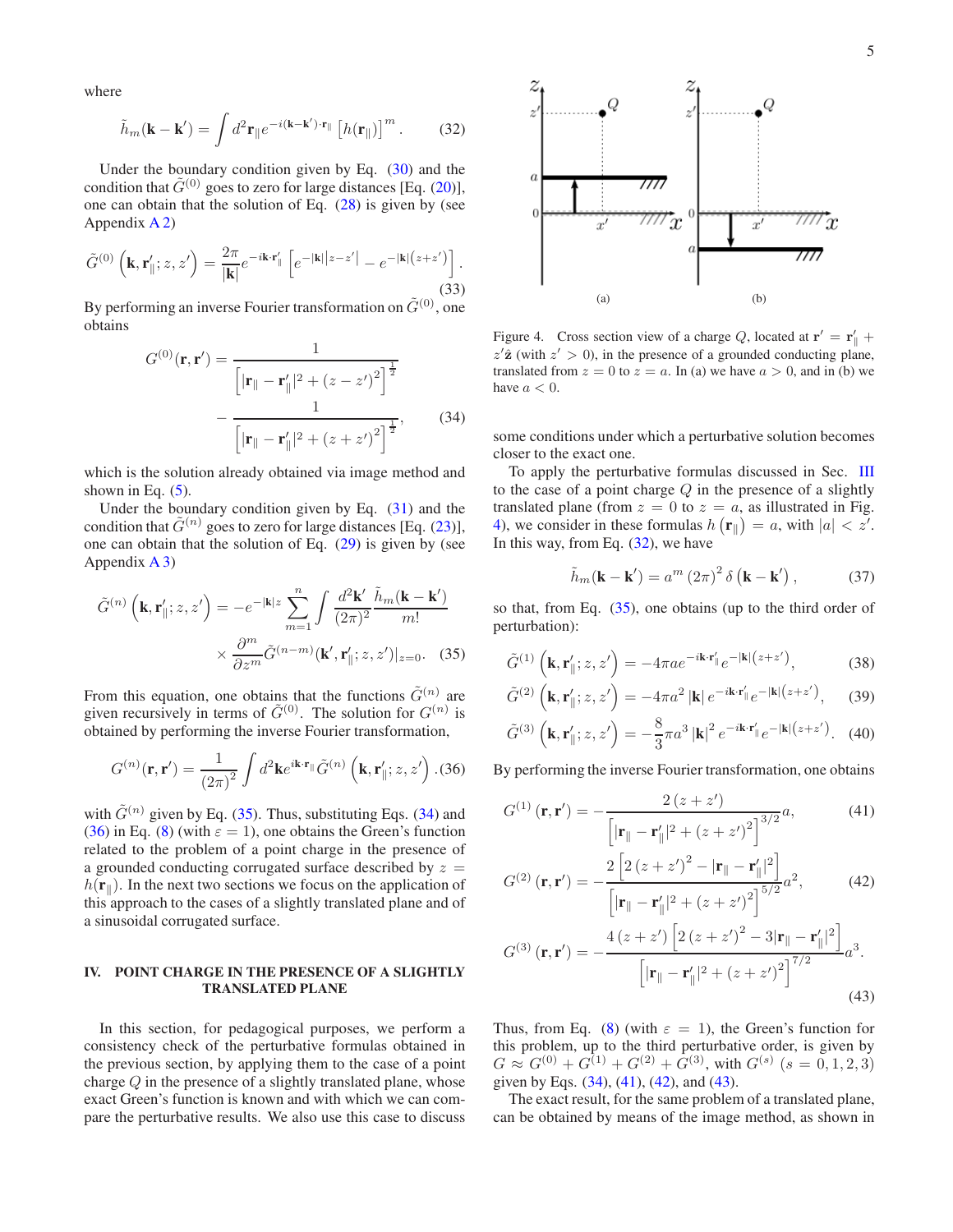where

<span id="page-4-5"></span>
$$
\tilde{h}_m(\mathbf{k} - \mathbf{k}') = \int d^2 \mathbf{r}_{\parallel} e^{-i(\mathbf{k} - \mathbf{k}') \cdot \mathbf{r}_{\parallel}} \left[ h(\mathbf{r}_{\parallel}) \right]^m.
$$
 (32)

Under the boundary condition given by Eq. [\(30\)](#page-3-6) and the condition that  $\tilde{G}^{(0)}$  goes to zero for large distances [Eq. [\(20\)](#page-3-7)], one can obtain that the solution of Eq. [\(28\)](#page-3-8) is given by (see Appendix [A 2\)](#page-12-0)

$$
\tilde{G}^{(0)}\left(\mathbf{k},\mathbf{r}_{\parallel}';z,z'\right) = \frac{2\pi}{|\mathbf{k}|}e^{-i\mathbf{k}\cdot\mathbf{r}_{\parallel}'}\left[e^{-|\mathbf{k}|z-z'|} - e^{-|\mathbf{k}|(z+z')}\right].
$$
\n(33)

By performing an inverse Fourier transformation on  $G^{(0)}$ , one obtains

<span id="page-4-2"></span>
$$
G^{(0)}(\mathbf{r}, \mathbf{r}') = \frac{1}{\left[|\mathbf{r}_{\parallel} - \mathbf{r}'_{\parallel}|^2 + (z - z')^2\right]^{\frac{1}{2}}} - \frac{1}{\left[|\mathbf{r}_{\parallel} - \mathbf{r}'_{\parallel}|^2 + (z + z')^2\right]^{\frac{1}{2}}},
$$
(34)

which is the solution already obtained via image method and shown in Eq.  $(5)$ .

Under the boundary condition given by Eq. [\(31\)](#page-3-9) and the condition that  $\tilde{G}^{(n)}$  goes to zero for large distances [Eq. [\(23\)](#page-3-4)], one can obtain that the solution of Eq. [\(29\)](#page-3-10) is given by (see Appendix [A 3\)](#page-13-6)

$$
\tilde{G}^{(n)}\left(\mathbf{k}, \mathbf{r}_{\parallel}'; z, z'\right) = -e^{-|\mathbf{k}|z} \sum_{m=1}^{n} \int \frac{d^2 \mathbf{k}'}{(2\pi)^2} \frac{\tilde{h}_m(\mathbf{k} - \mathbf{k}')}{m!} \times \frac{\partial^m}{\partial z^m} \tilde{G}^{(n-m)}(\mathbf{k}', \mathbf{r}_{\parallel}'; z, z')|_{z=0}.
$$
 (35)

From this equation, one obtains that the functions  $\tilde{G}^{(n)}$  are given recursively in terms of  $\tilde{G}^{(0)}$ . The solution for  $G^{(n)}$  is obtained by performing the inverse Fourier transformation,

<span id="page-4-3"></span>
$$
G^{(n)}(\mathbf{r}, \mathbf{r}') = \frac{1}{(2\pi)^2} \int d^2\mathbf{k} e^{i\mathbf{k}\cdot\mathbf{r}_{\parallel}} \tilde{G}^{(n)}\left(\mathbf{k}, \mathbf{r}'_{\parallel}; z, z'\right). (36)
$$

with  $\tilde{G}^{(n)}$  given by Eq. [\(35\)](#page-4-1). Thus, substituting Eqs. [\(34\)](#page-4-2) and [\(36\)](#page-4-3) in Eq. [\(8\)](#page-2-2) (with  $\varepsilon = 1$ ), one obtains the Green's function related to the problem of a point charge in the presence of a grounded conducting corrugated surface described by  $z =$  $h(\mathbf{r}_{\parallel})$ . In the next two sections we focus on the application of this approach to the cases of a slightly translated plane and of a sinusoidal corrugated surface.

# <span id="page-4-0"></span>IV. POINT CHARGE IN THE PRESENCE OF A SLIGHTLY TRANSLATED PLANE

In this section, for pedagogical purposes, we perform a consistency check of the perturbative formulas obtained in the previous section, by applying them to the case of a point charge Q in the presence of a slightly translated plane, whose exact Green's function is known and with which we can compare the perturbative results. We also use this case to discuss



<span id="page-4-4"></span>Figure 4. Cross section view of a charge Q, located at  $\mathbf{r}' = \mathbf{r}'_{\parallel} + \mathbf{r}'$  $z' \hat{\mathbf{z}}$  (with  $z' > 0$ ), in the presence of a grounded conducting plane, translated from  $z = 0$  to  $z = a$ . In (a) we have  $a > 0$ , and in (b) we have  $a < 0$ .

some conditions under which a perturbative solution becomes closer to the exact one.

To apply the perturbative formulas discussed in Sec. [III](#page-1-1) to the case of a point charge  $Q$  in the presence of a slightly translated plane (from  $z = 0$  to  $z = a$ , as illustrated in Fig. [4\)](#page-4-4), we consider in these formulas  $h(\mathbf{r}_{\parallel}) = a$ , with  $|a| < z'$ . In this way, from Eq.  $(32)$ , we have

$$
\tilde{h}_m(\mathbf{k} - \mathbf{k}') = a^m (2\pi)^2 \delta(\mathbf{k} - \mathbf{k}'),\tag{37}
$$

<span id="page-4-1"></span>so that, from Eq. [\(35\)](#page-4-1), one obtains (up to the third order of perturbation):

$$
\tilde{G}^{(1)}\left(\mathbf{k},\mathbf{r}_{\parallel}';z,z'\right) = -4\pi ae^{-i\mathbf{k}\cdot\mathbf{r}_{\parallel}'}e^{-|\mathbf{k}|\left(z+z'\right)},\tag{38}
$$

$$
\tilde{G}^{(2)}\left(\mathbf{k},\mathbf{r}_{\parallel}';z,z'\right) = -4\pi a^2 \left|\mathbf{k}\right| e^{-i\mathbf{k}\cdot\mathbf{r}_{\parallel}'} e^{-|\mathbf{k}|(z+z')},\qquad(39)
$$

$$
\tilde{G}^{(3)}\left(\mathbf{k},\mathbf{r}_{\parallel}';z,z'\right) = -\frac{8}{3}\pi a^3\left|\mathbf{k}\right|^2 e^{-i\mathbf{k}\cdot\mathbf{r}_{\parallel}'}e^{-|\mathbf{k}|(z+z')}.\tag{40}
$$

By performing the inverse Fourier transformation, one obtains

<span id="page-4-6"></span>
$$
G^{(1)}\left(\mathbf{r},\mathbf{r}'\right) = -\frac{2\left(z+z'\right)}{\left[|\mathbf{r}_{\parallel} - \mathbf{r}'_{\parallel}|^2 + \left(z+z'\right)^2\right]^{3/2}}a,\tag{41}
$$

<span id="page-4-7"></span>
$$
G^{(2)}\left(\mathbf{r},\mathbf{r}'\right) = -\frac{2\left[2\left(z+z'\right)^2 - |\mathbf{r}_{\parallel} - \mathbf{r}'_{\parallel}|^2\right]}{\left[|\mathbf{r}_{\parallel} - \mathbf{r}'_{\parallel}|^2 + \left(z+z'\right)^2\right]^{5/2}}a^2,
$$
(42)

<span id="page-4-8"></span>
$$
G^{(3)}(\mathbf{r}, \mathbf{r}') = -\frac{4(z+z')\left[2(z+z')^2 - 3|\mathbf{r}_{\parallel} - \mathbf{r}'_{\parallel}|^2\right]}{\left[|\mathbf{r}_{\parallel} - \mathbf{r}'_{\parallel}|^2 + (z+z')^2\right]^{7/2}}a^3.
$$
\n(43)

Thus, from Eq. [\(8\)](#page-2-2) (with  $\varepsilon = 1$ ), the Green's function for this problem, up to the third perturbative order, is given by  $G \approx G^{(0)} + G^{(1)} + G^{(2)} + G^{(3)}$ , with  $G^{(s)}$  (s = 0, 1, 2, 3) given by Eqs.  $(34)$ ,  $(41)$ ,  $(42)$ , and  $(43)$ .

The exact result, for the same problem of a translated plane, can be obtained by means of the image method, as shown in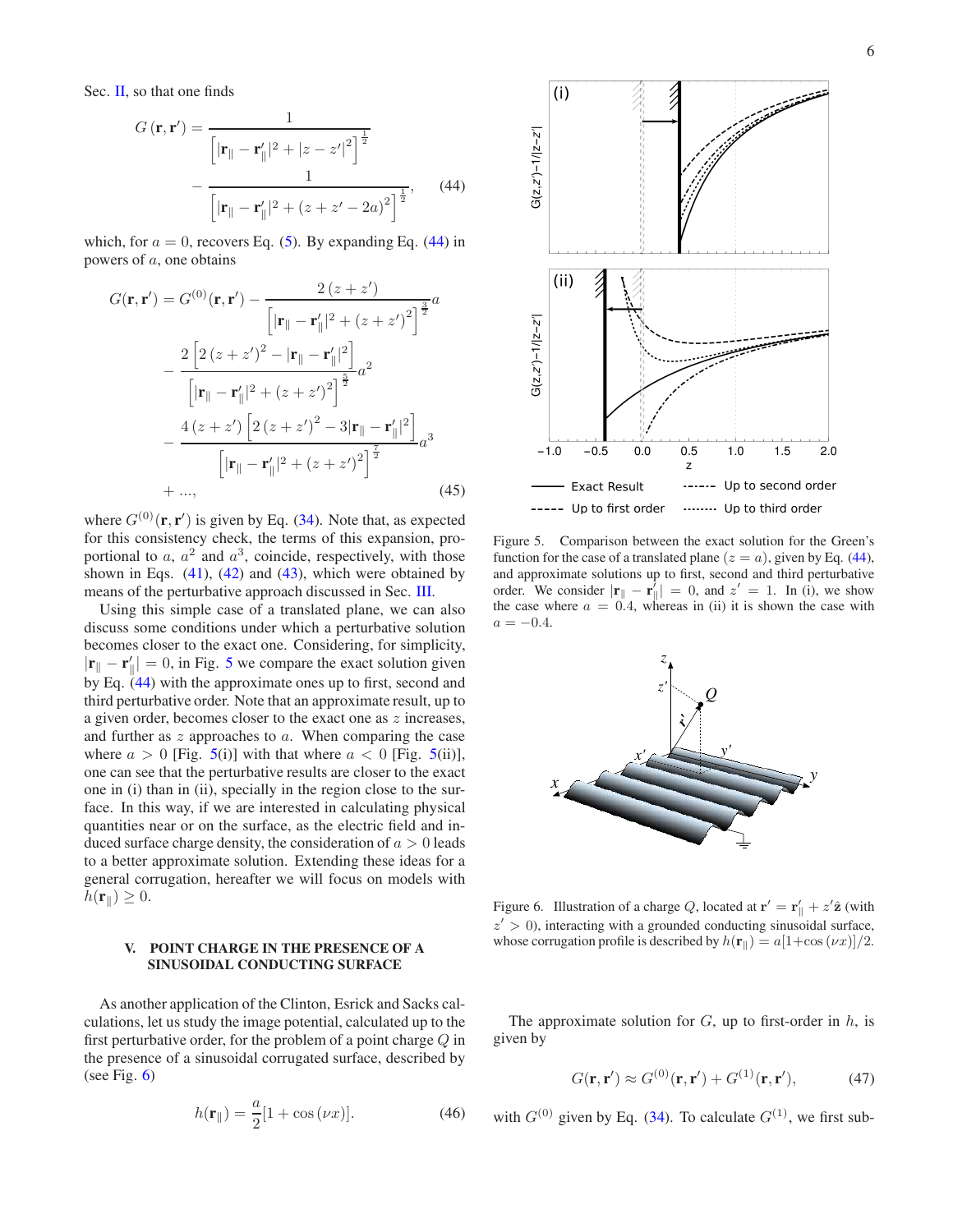Sec. [II,](#page-1-0) so that one finds

<span id="page-5-1"></span>
$$
G(\mathbf{r}, \mathbf{r}') = \frac{1}{\left[|\mathbf{r}_{\parallel} - \mathbf{r}'_{\parallel}|^2 + |z - z'|^2\right]^{\frac{1}{2}}} - \frac{1}{\left[|\mathbf{r}_{\parallel} - \mathbf{r}'_{\parallel}|^2 + (z + z' - 2a)^2\right]^{\frac{1}{2}}},
$$
(44)

which, for  $a = 0$ , recovers Eq. [\(5\)](#page-1-6). By expanding Eq. [\(44\)](#page-5-1) in powers of a, one obtains

$$
G(\mathbf{r}, \mathbf{r}') = G^{(0)}(\mathbf{r}, \mathbf{r}') - \frac{2(z+z')}{\left[|\mathbf{r}_{\parallel} - \mathbf{r}'_{\parallel}|^2 + (z+z')^2\right]^{\frac{3}{2}}}a
$$

$$
- \frac{2\left[2(z+z')^2 - |\mathbf{r}_{\parallel} - \mathbf{r}'_{\parallel}|^2\right]}{\left[|\mathbf{r}_{\parallel} - \mathbf{r}'_{\parallel}|^2 + (z+z')^2\right]^{\frac{5}{2}}}a^2
$$

$$
- \frac{4(z+z')\left[2(z+z')^2 - 3|\mathbf{r}_{\parallel} - \mathbf{r}'_{\parallel}|^2\right]}{\left[|\mathbf{r}_{\parallel} - \mathbf{r}'_{\parallel}|^2 + (z+z')^2\right]^{\frac{7}{2}}}a^3
$$

$$
+ ...,
$$
(45)

where  $G^{(0)}(\mathbf{r}, \mathbf{r}')$  is given by Eq. [\(34\)](#page-4-2). Note that, as expected for this consistency check, the terms of this expansion, proportional to a,  $a^2$  and  $a^3$ , coincide, respectively, with those shown in Eqs.  $(41)$ ,  $(42)$  and  $(43)$ , which were obtained by means of the perturbative approach discussed in Sec. [III.](#page-1-1)

Using this simple case of a translated plane, we can also discuss some conditions under which a perturbative solution becomes closer to the exact one. Considering, for simplicity,  $|\mathbf{r}_{\parallel} - \mathbf{r}'_{\parallel}| = 0$ , in Fig. [5](#page-5-2) we compare the exact solution given by Eq. [\(44\)](#page-5-1) with the approximate ones up to first, second and third perturbative order. Note that an approximate result, up to a given order, becomes closer to the exact one as  $z$  increases, and further as  $z$  approaches to  $a$ . When comparing the case where  $a > 0$  [Fig. [5\(](#page-5-2)i)] with that where  $a < 0$  [Fig. 5(ii)], one can see that the perturbative results are closer to the exact one in (i) than in (ii), specially in the region close to the surface. In this way, if we are interested in calculating physical quantities near or on the surface, as the electric field and induced surface charge density, the consideration of  $a > 0$  leads to a better approximate solution. Extending these ideas for a general corrugation, hereafter we will focus on models with  $h(\mathbf{r}_{\parallel}) \geq 0.$ 

# <span id="page-5-0"></span>V. POINT CHARGE IN THE PRESENCE OF A SINUSOIDAL CONDUCTING SURFACE

As another application of the Clinton, Esrick and Sacks calculations, let us study the image potential, calculated up to the first perturbative order, for the problem of a point charge  $Q$  in the presence of a sinusoidal corrugated surface, described by (see Fig.  $6$ )

<span id="page-5-4"></span>
$$
h(\mathbf{r}_{\parallel}) = \frac{a}{2} [1 + \cos(\nu x)].
$$
 (46)



<span id="page-5-2"></span>Figure 5. Comparison between the exact solution for the Green's function for the case of a translated plane  $(z = a)$ , given by Eq. [\(44\)](#page-5-1), and approximate solutions up to first, second and third perturbative order. We consider  $|\mathbf{r}_{\parallel} - \mathbf{r}_{\parallel}^{\dagger}| = 0$ , and  $z' = 1$ . In (i), we show the case where  $a = 0.4$ , whereas in (ii) it is shown the case with  $a = -0.4$ .



<span id="page-5-3"></span>Figure 6. Illustration of a charge Q, located at  $\mathbf{r}' = \mathbf{r}'_{\parallel} + z' \hat{\mathbf{z}}$  (with  $z' > 0$ ), interacting with a grounded conducting sinusoidal surface, whose corrugation profile is described by  $h(\mathbf{r}_{\parallel}) = a[1+\cos(\nu x)]/2$ .

The approximate solution for  $G$ , up to first-order in  $h$ , is given by

$$
G(\mathbf{r}, \mathbf{r}') \approx G^{(0)}(\mathbf{r}, \mathbf{r}') + G^{(1)}(\mathbf{r}, \mathbf{r}'), \tag{47}
$$

with  $G^{(0)}$  given by Eq. [\(34\)](#page-4-2). To calculate  $G^{(1)}$ , we first sub-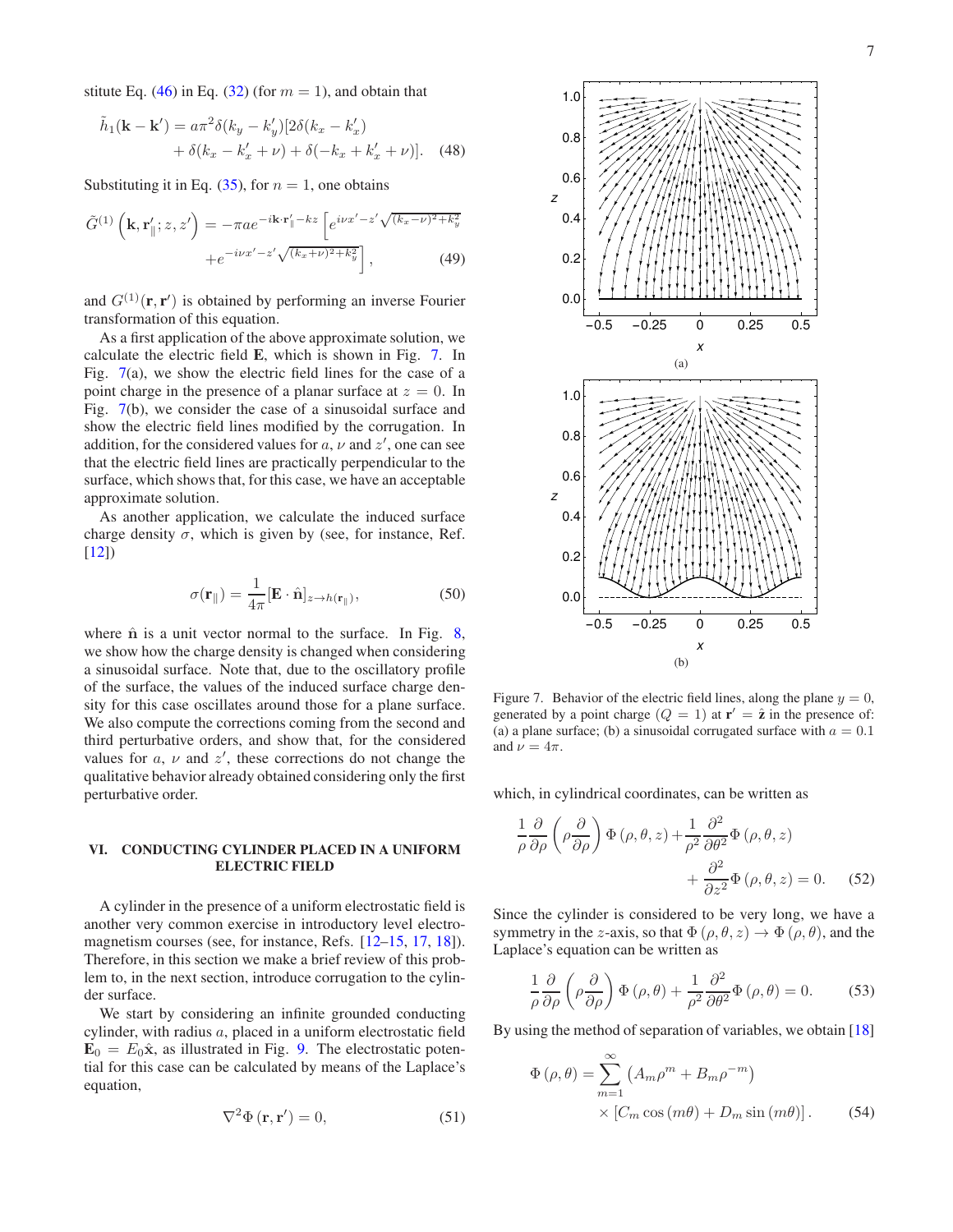stitute Eq. [\(46\)](#page-5-4) in Eq. [\(32\)](#page-4-5) (for  $m = 1$ ), and obtain that

$$
\tilde{h}_1(\mathbf{k} - \mathbf{k}') = a\pi^2 \delta(k_y - k_y') [2\delta(k_x - k_x') + \delta(k_x - k_x' + \nu) + \delta(-k_x + k_x' + \nu)].
$$
 (48)

Substituting it in Eq.  $(35)$ , for  $n = 1$ , one obtains

$$
\tilde{G}^{(1)}\left(\mathbf{k},\mathbf{r}_{\parallel}';z,z'\right) = -\pi a e^{-i\mathbf{k}\cdot\mathbf{r}_{\parallel}'-kz} \left[e^{i\nu x'-z'}\sqrt{(k_x-\nu)^2+k_y^2}\right] + e^{-i\nu x'-z'}\sqrt{(k_x+\nu)^2+k_y^2}\right],\tag{49}
$$

and  $G^{(1)}(\mathbf{r}, \mathbf{r}')$  is obtained by performing an inverse Fourier transformation of this equation.

As a first application of the above approximate solution, we calculate the electric field E, which is shown in Fig. [7.](#page-6-1) In Fig. [7\(](#page-6-1)a), we show the electric field lines for the case of a point charge in the presence of a planar surface at  $z = 0$ . In Fig. [7\(](#page-6-1)b), we consider the case of a sinusoidal surface and show the electric field lines modified by the corrugation. In addition, for the considered values for  $a, \nu$  and  $z'$ , one can see that the electric field lines are practically perpendicular to the surface, which shows that, for this case, we have an acceptable approximate solution.

As another application, we calculate the induced surface charge density  $\sigma$ , which is given by (see, for instance, Ref. [\[12](#page-14-5)])

<span id="page-6-4"></span>
$$
\sigma(\mathbf{r}_{\parallel}) = \frac{1}{4\pi} [\mathbf{E} \cdot \hat{\mathbf{n}}]_{z \to h(\mathbf{r}_{\parallel})},
$$
(50)

where  $\hat{n}$  is a unit vector normal to the surface. In Fig. [8,](#page-7-1) we show how the charge density is changed when considering a sinusoidal surface. Note that, due to the oscillatory profile of the surface, the values of the induced surface charge density for this case oscillates around those for a plane surface. We also compute the corrections coming from the second and third perturbative orders, and show that, for the considered values for  $a$ ,  $\nu$  and  $z'$ , these corrections do not change the qualitative behavior already obtained considering only the first perturbative order.

# <span id="page-6-0"></span>VI. CONDUCTING CYLINDER PLACED IN A UNIFORM ELECTRIC FIELD

A cylinder in the presence of a uniform electrostatic field is another very common exercise in introductory level electro-magnetism courses (see, for instance, Refs. [\[12](#page-14-5)[–15,](#page-14-7) [17,](#page-14-6) [18\]](#page-14-8)). Therefore, in this section we make a brief review of this problem to, in the next section, introduce corrugation to the cylinder surface.

We start by considering an infinite grounded conducting cylinder, with radius a, placed in a uniform electrostatic field  $\mathbf{E}_0 = E_0 \hat{\mathbf{x}}$ , as illustrated in Fig. [9.](#page-7-2) The electrostatic potential for this case can be calculated by means of the Laplace's equation,

$$
\nabla^2 \Phi(\mathbf{r}, \mathbf{r}') = 0,\tag{51}
$$



7



<span id="page-6-1"></span>Figure 7. Behavior of the electric field lines, along the plane  $y = 0$ , generated by a point charge  $(Q = 1)$  at  $\mathbf{r}' = \hat{\mathbf{z}}$  in the presence of: (a) a plane surface; (b) a sinusoidal corrugated surface with  $a = 0.1$ and  $\nu = 4\pi$ .

which, in cylindrical coordinates, can be written as

$$
\frac{1}{\rho} \frac{\partial}{\partial \rho} \left( \rho \frac{\partial}{\partial \rho} \right) \Phi (\rho, \theta, z) + \frac{1}{\rho^2} \frac{\partial^2}{\partial \theta^2} \Phi (\rho, \theta, z) \n+ \frac{\partial^2}{\partial z^2} \Phi (\rho, \theta, z) = 0.
$$
 (52)

Since the cylinder is considered to be very long, we have a symmetry in the z-axis, so that  $\Phi(\rho, \theta, z) \rightarrow \Phi(\rho, \theta)$ , and the Laplace's equation can be written as

<span id="page-6-3"></span>
$$
\frac{1}{\rho} \frac{\partial}{\partial \rho} \left( \rho \frac{\partial}{\partial \rho} \right) \Phi \left( \rho, \theta \right) + \frac{1}{\rho^2} \frac{\partial^2}{\partial \theta^2} \Phi \left( \rho, \theta \right) = 0. \tag{53}
$$

By using the method of separation of variables, we obtain [\[18\]](#page-14-8)

<span id="page-6-2"></span>
$$
\Phi(\rho,\theta) = \sum_{m=1}^{\infty} \left( A_m \rho^m + B_m \rho^{-m} \right) \times \left[ C_m \cos\left(m\theta\right) + D_m \sin\left(m\theta\right) \right].
$$
 (54)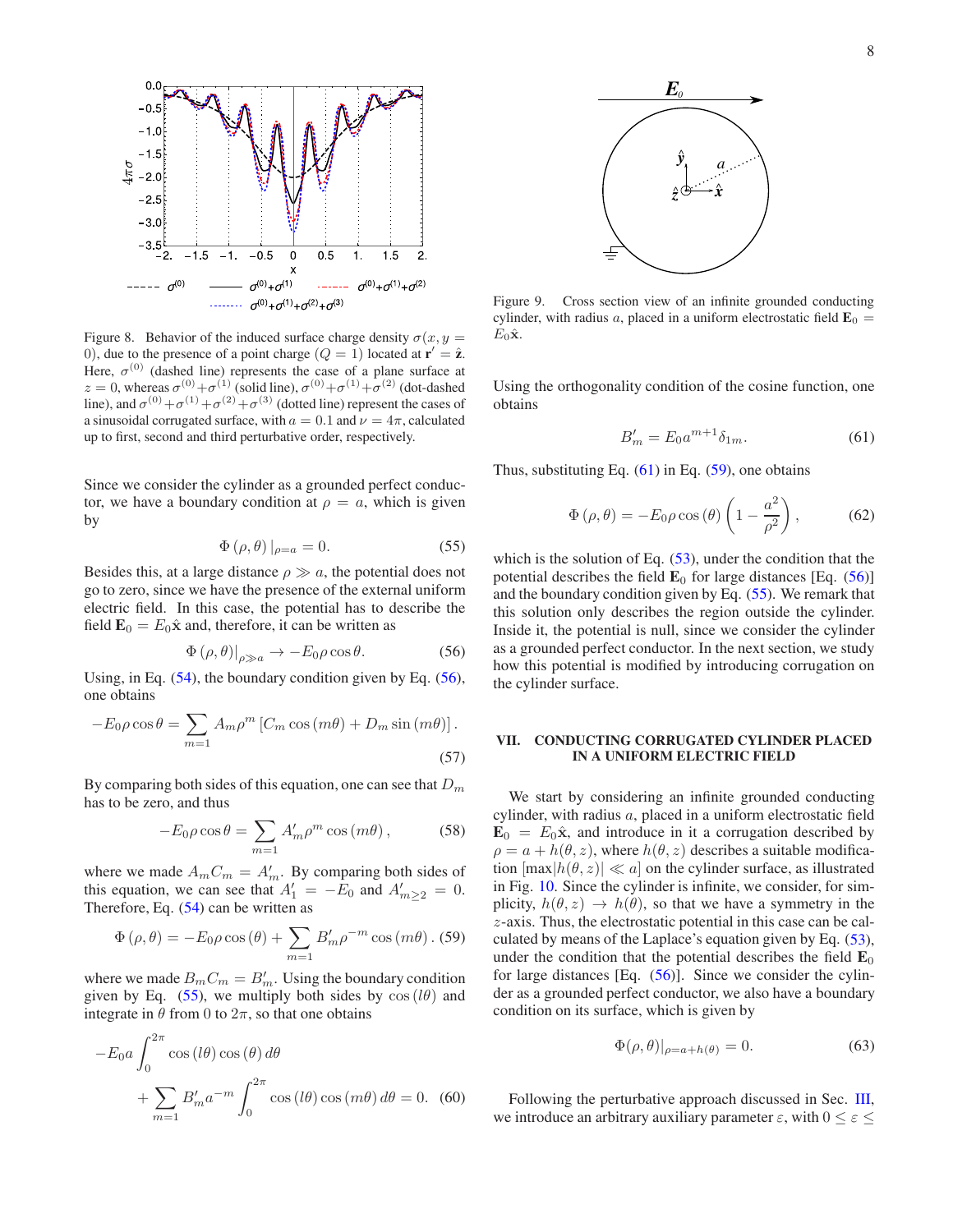

<span id="page-7-1"></span>Figure 8. Behavior of the induced surface charge density  $\sigma(x, y)$ 0), due to the presence of a point charge  $(Q = 1)$  located at  $\mathbf{r}' = \hat{\mathbf{z}}$ . Here,  $\sigma^{(0)}$  (dashed line) represents the case of a plane surface at z = 0, whereas  $\sigma^{(0)} + \sigma^{(1)}$  (solid line),  $\sigma^{(0)} + \sigma^{(1)} + \sigma^{(2)}$  (dot-dashed line), and  $\sigma^{(0)} + \sigma^{(1)} + \sigma^{(2)} + \sigma^{(3)}$  (dotted line) represent the cases of a sinusoidal corrugated surface, with  $a = 0.1$  and  $\nu = 4\pi$ , calculated up to first, second and third perturbative order, respectively.

Since we consider the cylinder as a grounded perfect conductor, we have a boundary condition at  $\rho = a$ , which is given by

<span id="page-7-4"></span>
$$
\Phi\left(\rho,\theta\right)|_{\rho=a}=0.\tag{55}
$$

Besides this, at a large distance  $\rho \gg a$ , the potential does not go to zero, since we have the presence of the external uniform electric field. In this case, the potential has to describe the field  $\mathbf{E}_0 = E_0 \hat{\mathbf{x}}$  and, therefore, it can be written as

<span id="page-7-3"></span>
$$
\Phi\left(\rho,\theta\right)|_{\rho\gg a} \to -E_0\rho\cos\theta. \tag{56}
$$

Using, in Eq. [\(54\)](#page-6-2), the boundary condition given by Eq. [\(56\)](#page-7-3), one obtains

$$
-E_0 \rho \cos \theta = \sum_{m=1} A_m \rho^m \left[ C_m \cos \left( m\theta \right) + D_m \sin \left( m\theta \right) \right].
$$
\n(57)

By comparing both sides of this equation, one can see that  $D_m$ has to be zero, and thus

$$
-E_0 \rho \cos \theta = \sum_{m=1} A'_m \rho^m \cos(m\theta), \qquad (58)
$$

where we made  $A_m C_m = A'_m$ . By comparing both sides of this equation, we can see that  $A'_1 = -E_0$  and  $A'_{m \geq 2} = 0$ . Therefore, Eq.  $(54)$  can be written as

<span id="page-7-6"></span>
$$
\Phi(\rho,\theta) = -E_0 \rho \cos(\theta) + \sum_{m=1} B'_m \rho^{-m} \cos(m\theta).
$$
 (59)

where we made  $B_m C_m = B'_m$ . Using the boundary condition given by Eq. [\(55\)](#page-7-4), we multiply both sides by  $cos(l\theta)$  and integrate in  $\theta$  from 0 to  $2\pi$ , so that one obtains

$$
-E_0 a \int_0^{2\pi} \cos(\ell\theta) \cos(\theta) d\theta
$$
  
+ 
$$
\sum_{m=1} B'_m a^{-m} \int_0^{2\pi} \cos(\ell\theta) \cos(m\theta) d\theta = 0.
$$
 (60)



<span id="page-7-2"></span>Figure 9. Cross section view of an infinite grounded conducting cylinder, with radius a, placed in a uniform electrostatic field  $\mathbf{E}_0 =$  $E_0\hat{\mathbf{x}}$ .

Using the orthogonality condition of the cosine function, one obtains

<span id="page-7-5"></span>
$$
B'_m = E_0 a^{m+1} \delta_{1m}.
$$
 (61)

Thus, substituting Eq.  $(61)$  in Eq.  $(59)$ , one obtains

<span id="page-7-8"></span>
$$
\Phi\left(\rho,\theta\right) = -E_0\rho\cos\left(\theta\right)\left(1 - \frac{a^2}{\rho^2}\right),\tag{62}
$$

which is the solution of Eq.  $(53)$ , under the condition that the potential describes the field  $\mathbf{E}_0$  for large distances [Eq. [\(56\)](#page-7-3)] and the boundary condition given by Eq. [\(55\)](#page-7-4). We remark that this solution only describes the region outside the cylinder. Inside it, the potential is null, since we consider the cylinder as a grounded perfect conductor. In the next section, we study how this potential is modified by introducing corrugation on the cylinder surface.

#### <span id="page-7-0"></span>VII. CONDUCTING CORRUGATED CYLINDER PLACED IN A UNIFORM ELECTRIC FIELD

We start by considering an infinite grounded conducting cylinder, with radius a, placed in a uniform electrostatic field  $\mathbf{E}_0 = E_0 \hat{\mathbf{x}}$ , and introduce in it a corrugation described by  $\rho = a + h(\theta, z)$ , where  $h(\theta, z)$  describes a suitable modification  $[\max|h(\theta, z)| \ll a]$  on the cylinder surface, as illustrated in Fig. [10.](#page-8-0) Since the cylinder is infinite, we consider, for simplicity,  $h(\theta, z) \rightarrow h(\theta)$ , so that we have a symmetry in the z-axis. Thus, the electrostatic potential in this case can be calculated by means of the Laplace's equation given by Eq. [\(53\)](#page-6-3), under the condition that the potential describes the field  $\mathbf{E}_0$ for large distances [Eq. [\(56\)](#page-7-3)]. Since we consider the cylinder as a grounded perfect conductor, we also have a boundary condition on its surface, which is given by

<span id="page-7-7"></span>
$$
\Phi(\rho,\theta)|_{\rho=a+h(\theta)} = 0.
$$
\n(63)

Following the perturbative approach discussed in Sec. [III,](#page-1-1) we introduce an arbitrary auxiliary parameter  $\varepsilon$ , with  $0 \le \varepsilon \le$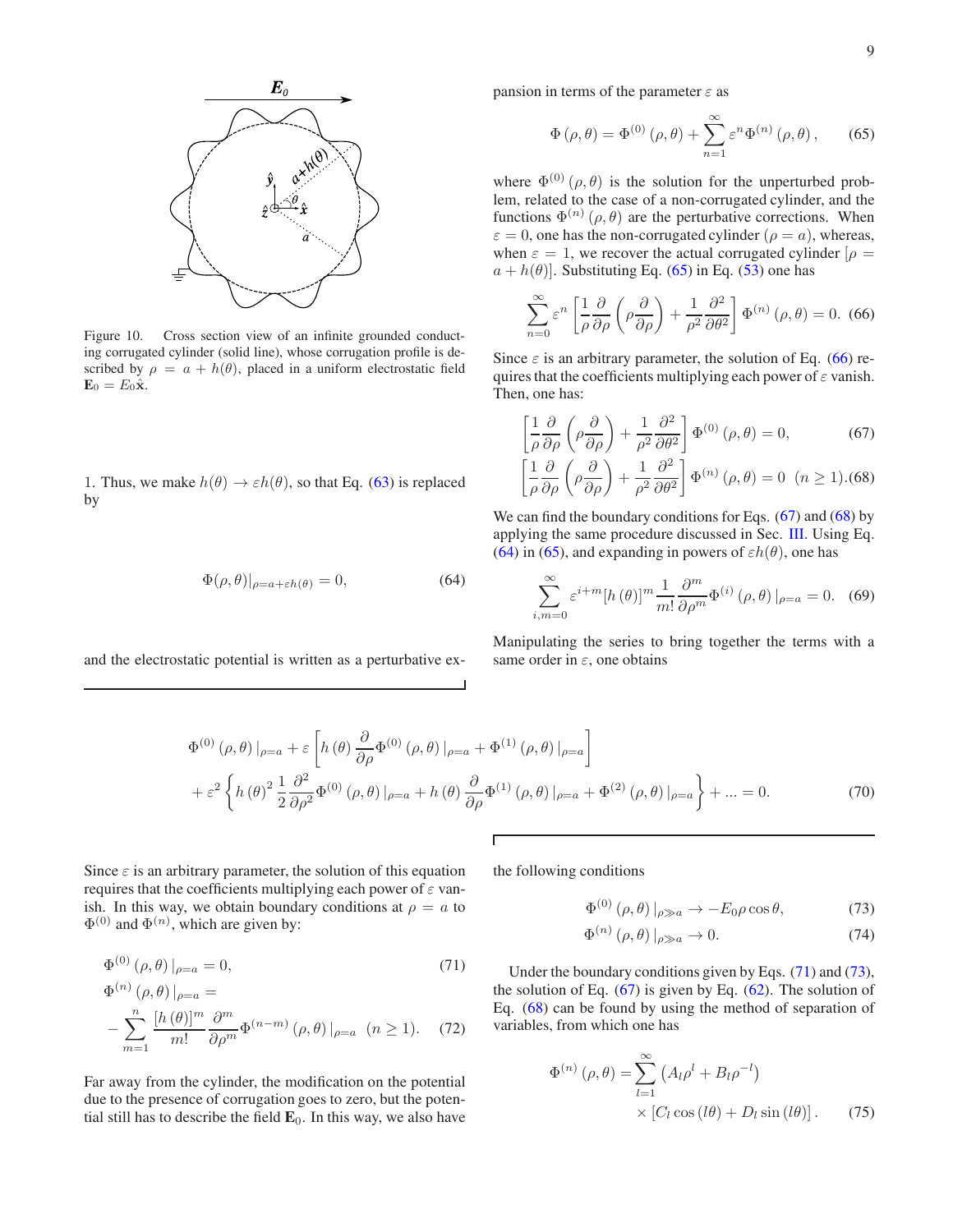

<span id="page-8-0"></span>Figure 10. Cross section view of an infinite grounded conducting corrugated cylinder (solid line), whose corrugation profile is described by  $\rho = a + h(\theta)$ , placed in a uniform electrostatic field  $\mathbf{E}_0 = E_0 \hat{\mathbf{x}}$ .

1. Thus, we make  $h(\theta) \rightarrow \varepsilon h(\theta)$ , so that Eq. [\(63\)](#page-7-7) is replaced by

<span id="page-8-4"></span>
$$
\Phi(\rho,\theta)|_{\rho=a+\varepsilon h(\theta)}=0,\t\t(64)
$$

and the electrostatic potential is written as a perturbative ex-

pansion in terms of the parameter  $\varepsilon$  as

<span id="page-8-1"></span>
$$
\Phi(\rho,\theta) = \Phi^{(0)}(\rho,\theta) + \sum_{n=1}^{\infty} \varepsilon^n \Phi^{(n)}(\rho,\theta), \qquad (65)
$$

where  $\Phi^{(0)}(\rho,\theta)$  is the solution for the unperturbed problem, related to the case of a non-corrugated cylinder, and the functions  $\Phi^{(n)}(\rho,\theta)$  are the perturbative corrections. When  $\varepsilon = 0$ , one has the non-corrugated cylinder ( $\rho = a$ ), whereas, when  $\varepsilon = 1$ , we recover the actual corrugated cylinder  $\rho =$  $a + h(\theta)$ . Substituting Eq. [\(65\)](#page-8-1) in Eq. [\(53\)](#page-6-3) one has

<span id="page-8-2"></span>
$$
\sum_{n=0}^{\infty} \varepsilon^{n} \left[ \frac{1}{\rho} \frac{\partial}{\partial \rho} \left( \rho \frac{\partial}{\partial \rho} \right) + \frac{1}{\rho^{2}} \frac{\partial^{2}}{\partial \theta^{2}} \right] \Phi^{(n)} \left( \rho, \theta \right) = 0. \tag{66}
$$

Since  $\varepsilon$  is an arbitrary parameter, the solution of Eq. [\(66\)](#page-8-2) requires that the coefficients multiplying each power of  $\varepsilon$  vanish. Then, one has:

<span id="page-8-3"></span>
$$
\left[\frac{1}{\rho}\frac{\partial}{\partial\rho}\left(\rho\frac{\partial}{\partial\rho}\right) + \frac{1}{\rho^2}\frac{\partial^2}{\partial\theta^2}\right]\Phi^{(0)}\left(\rho,\theta\right) = 0,\tag{67}
$$

$$
\left[\frac{1}{\rho}\frac{\partial}{\partial\rho}\left(\rho\frac{\partial}{\partial\rho}\right) + \frac{1}{\rho^2}\frac{\partial^2}{\partial\theta^2}\right]\Phi^{(n)}\left(\rho,\theta\right) = 0 \ \ (n \ge 1). \tag{68}
$$

We can find the boundary conditions for Eqs.  $(67)$  and  $(68)$  by applying the same procedure discussed in Sec. [III.](#page-1-1) Using Eq. [\(64\)](#page-8-4) in [\(65\)](#page-8-1), and expanding in powers of  $\varepsilon h(\theta)$ , one has

$$
\sum_{i,m=0}^{\infty} \varepsilon^{i+m} [h(\theta)]^m \frac{1}{m!} \frac{\partial^m}{\partial \rho^m} \Phi^{(i)}(\rho, \theta)|_{\rho=a} = 0. \quad (69)
$$

Manipulating the series to bring together the terms with a same order in  $\varepsilon$ , one obtains

$$
\Phi^{(0)}(\rho,\theta)|_{\rho=a} + \varepsilon \left[ h(\theta) \frac{\partial}{\partial \rho} \Phi^{(0)}(\rho,\theta) |_{\rho=a} + \Phi^{(1)}(\rho,\theta) |_{\rho=a} \right]
$$
  
+ 
$$
\varepsilon^2 \left\{ h(\theta)^2 \frac{1}{2} \frac{\partial^2}{\partial \rho^2} \Phi^{(0)}(\rho,\theta) |_{\rho=a} + h(\theta) \frac{\partial}{\partial \rho} \Phi^{(1)}(\rho,\theta) |_{\rho=a} + \Phi^{(2)}(\rho,\theta) |_{\rho=a} \right\} + \dots = 0.
$$
 (70)

Г

Since  $\varepsilon$  is an arbitrary parameter, the solution of this equation requires that the coefficients multiplying each power of  $\varepsilon$  vanish. In this way, we obtain boundary conditions at  $\rho = a$  to  $\Phi^{(0)}$  and  $\Phi^{(n)}$ , which are given by:

$$
\Phi^{(0)}(\rho,\theta)|_{\rho=a} = 0,\t\t(71)
$$

$$
\Phi^{(n)}(\rho,\theta)|_{\rho=a} =
$$
\n
$$
-\sum_{m=1}^{n} \frac{[h(\theta)]^m}{m!} \frac{\partial^m}{\partial \rho^m} \Phi^{(n-m)}(\rho,\theta)|_{\rho=a} \quad (n \ge 1). \tag{72}
$$

Far away from the cylinder, the modification on the potential due to the presence of corrugation goes to zero, but the potential still has to describe the field  $\mathbf{E}_0$ . In this way, we also have the following conditions

<span id="page-8-7"></span><span id="page-8-6"></span>
$$
\Phi^{(0)}\left(\rho,\theta\right)|_{\rho\gg a}\to -E_0\rho\cos\theta,\tag{73}
$$

$$
\Phi^{(n)}\left(\rho,\theta\right)|_{\rho\gg a}\to 0.\tag{74}
$$

<span id="page-8-9"></span><span id="page-8-5"></span>Under the boundary conditions given by Eqs. [\(71\)](#page-8-5) and [\(73\)](#page-8-6), the solution of Eq.  $(67)$  is given by Eq.  $(62)$ . The solution of Eq. [\(68\)](#page-8-3) can be found by using the method of separation of variables, from which one has

<span id="page-8-8"></span>
$$
\Phi^{(n)}(\rho,\theta) = \sum_{l=1}^{\infty} \left( A_l \rho^l + B_l \rho^{-l} \right) \times \left[ C_l \cos(l\theta) + D_l \sin(l\theta) \right]. \tag{75}
$$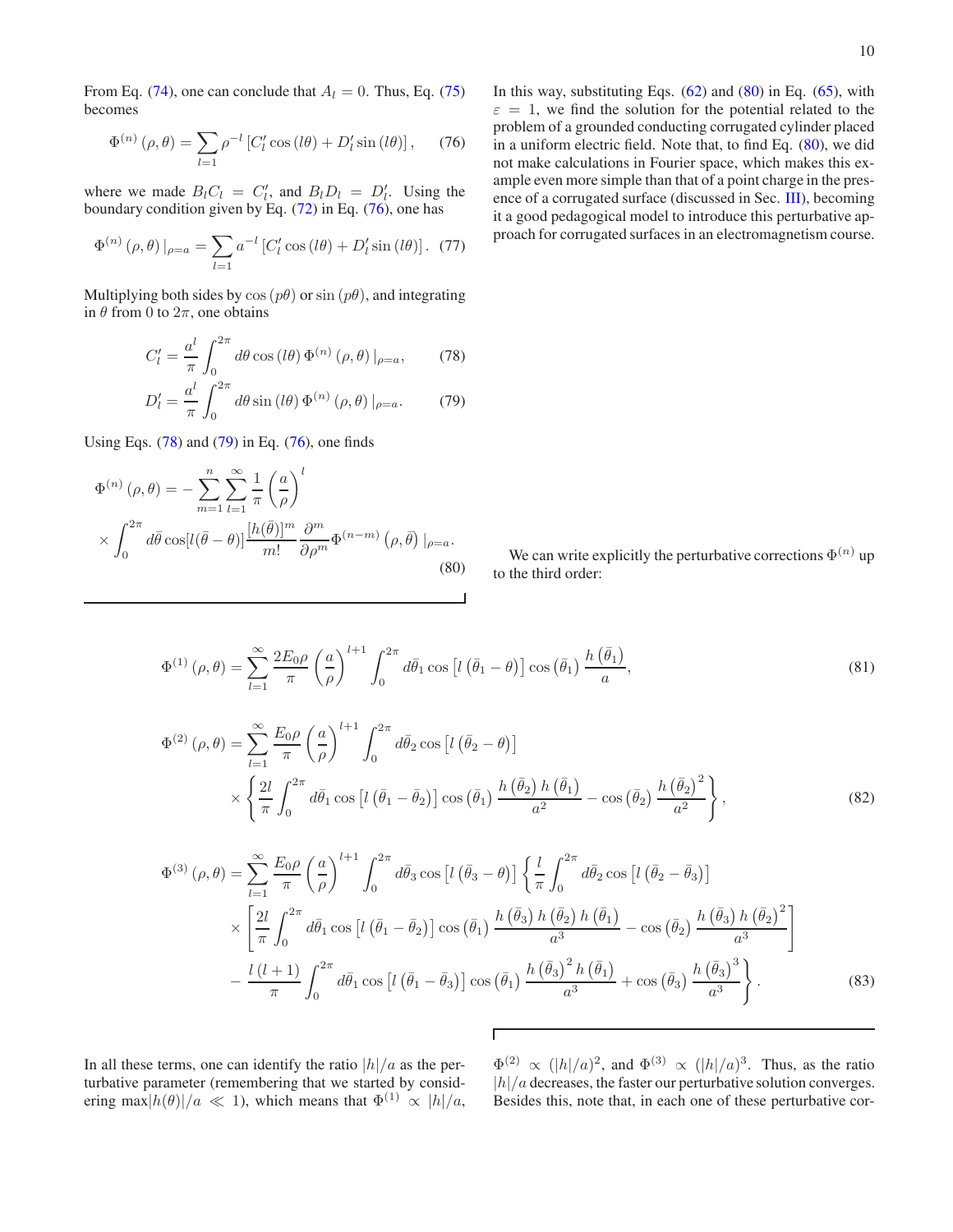From Eq. [\(74\)](#page-8-7), one can conclude that  $A_l = 0$ . Thus, Eq. [\(75\)](#page-8-8) becomes

<span id="page-9-0"></span>
$$
\Phi^{(n)}\left(\rho,\theta\right) = \sum_{l=1} \rho^{-l} \left[C'_l \cos\left(l\theta\right) + D'_l \sin\left(l\theta\right)\right],\tag{76}
$$

where we made  $B_l C_l = C'_l$ , and  $B_l D_l = D'_l$ . Using the boundary condition given by Eq.  $(72)$  in Eq.  $(76)$ , one has

$$
\Phi^{(n)}\left(\rho,\theta\right)|_{\rho=a} = \sum_{l=1} a^{-l} \left[C'_l \cos\left(l\theta\right) + D'_l \sin\left(l\theta\right)\right]. (77)
$$

Multiplying both sides by  $\cos(p\theta)$  or  $\sin(p\theta)$ , and integrating in  $\theta$  from 0 to  $2\pi$ , one obtains

$$
C'_{l} = \frac{a^{l}}{\pi} \int_{0}^{2\pi} d\theta \cos\left(l\theta\right) \Phi^{(n)}\left(\rho, \theta\right)|_{\rho=a}, \qquad (78)
$$

$$
D'_{l} = \frac{a^{l}}{\pi} \int_{0}^{2\pi} d\theta \sin\left(l\theta\right) \Phi^{(n)}\left(\rho, \theta\right)|_{\rho=a}.\tag{79}
$$

Using Eqs.  $(78)$  and  $(79)$  in Eq.  $(76)$ , one finds

$$
\Phi^{(n)}(\rho,\theta) = -\sum_{m=1}^{n} \sum_{l=1}^{\infty} \frac{1}{\pi} \left(\frac{a}{\rho}\right)^{l} \times \int_{0}^{2\pi} d\bar{\theta} \cos[l(\bar{\theta}-\theta)] \frac{[h(\bar{\theta})]^{m}}{m!} \frac{\partial^{m}}{\partial \rho^{m}} \Phi^{(n-m)}(\rho,\bar{\theta}) |_{\rho=a}.
$$
\n(80)

In this way, substituting Eqs.  $(62)$  and  $(80)$  in Eq.  $(65)$ , with  $\varepsilon = 1$ , we find the solution for the potential related to the problem of a grounded conducting corrugated cylinder placed in a uniform electric field. Note that, to find Eq. [\(80\)](#page-9-3), we did not make calculations in Fourier space, which makes this example even more simple than that of a point charge in the presence of a corrugated surface (discussed in Sec. [III\)](#page-1-1), becoming it a good pedagogical model to introduce this perturbative approach for corrugated surfaces in an electromagnetism course.

<span id="page-9-4"></span><span id="page-9-3"></span><span id="page-9-2"></span><span id="page-9-1"></span>We can write explicitly the perturbative corrections  $\Phi^{(n)}$  up to the third order:

$$
\Phi^{(1)}\left(\rho,\theta\right) = \sum_{l=1}^{\infty} \frac{2E_0\rho}{\pi} \left(\frac{a}{\rho}\right)^{l+1} \int_0^{2\pi} d\bar{\theta}_1 \cos\left[l\left(\bar{\theta}_1 - \theta\right)\right] \cos\left(\bar{\theta}_1\right) \frac{h\left(\bar{\theta}_1\right)}{a},\tag{81}
$$

$$
\Phi^{(2)}\left(\rho,\theta\right) = \sum_{l=1}^{\infty} \frac{E_0 \rho}{\pi} \left(\frac{a}{\rho}\right)^{l+1} \int_0^{2\pi} d\bar{\theta}_2 \cos\left[l\left(\bar{\theta}_2 - \theta\right)\right] \times \left\{\frac{2l}{\pi} \int_0^{2\pi} d\bar{\theta}_1 \cos\left[l\left(\bar{\theta}_1 - \bar{\theta}_2\right)\right] \cos\left(\bar{\theta}_1\right) \frac{h\left(\bar{\theta}_2\right)h\left(\bar{\theta}_1\right)}{a^2} - \cos\left(\bar{\theta}_2\right) \frac{h\left(\bar{\theta}_2\right)^2}{a^2}\right\},
$$
\n(82)

$$
\Phi^{(3)}\left(\rho,\theta\right) = \sum_{l=1}^{\infty} \frac{E_0 \rho}{\pi} \left(\frac{a}{\rho}\right)^{l+1} \int_0^{2\pi} d\bar{\theta}_3 \cos\left[l\left(\bar{\theta}_3 - \theta\right)\right] \left\{\frac{l}{\pi} \int_0^{2\pi} d\bar{\theta}_2 \cos\left[l\left(\bar{\theta}_2 - \bar{\theta}_3\right)\right]\right.\newline \times \left[\frac{2l}{\pi} \int_0^{2\pi} d\bar{\theta}_1 \cos\left[l\left(\bar{\theta}_1 - \bar{\theta}_2\right)\right] \cos\left(\bar{\theta}_1\right) \frac{h\left(\bar{\theta}_3\right)h\left(\bar{\theta}_2\right)h\left(\bar{\theta}_1\right)}{a^3} - \cos\left(\bar{\theta}_2\right) \frac{h\left(\bar{\theta}_3\right)h\left(\bar{\theta}_2\right)^2}{a^3}\right] \newline - \frac{l\left(l+1\right)}{\pi} \int_0^{2\pi} d\bar{\theta}_1 \cos\left[l\left(\bar{\theta}_1 - \bar{\theta}_3\right)\right] \cos\left(\bar{\theta}_1\right) \frac{h\left(\bar{\theta}_3\right)^2 h\left(\bar{\theta}_1\right)}{a^3} + \cos\left(\bar{\theta}_3\right) \frac{h\left(\bar{\theta}_3\right)^3}{a^3}\right} .
$$
\n(83)

 $\Gamma$ 

In all these terms, one can identify the ratio  $|h|/a$  as the perturbative parameter (remembering that we started by considering max $|h(\theta)|/a \ll 1$ , which means that  $\Phi^{(1)} \propto |h|/a$ ,

 $\Phi^{(2)} \propto (|h|/a)^2$ , and  $\Phi^{(3)} \propto (|h|/a)^3$ . Thus, as the ratio  $|h|/a$  decreases, the faster our perturbative solution converges. Besides this, note that, in each one of these perturbative cor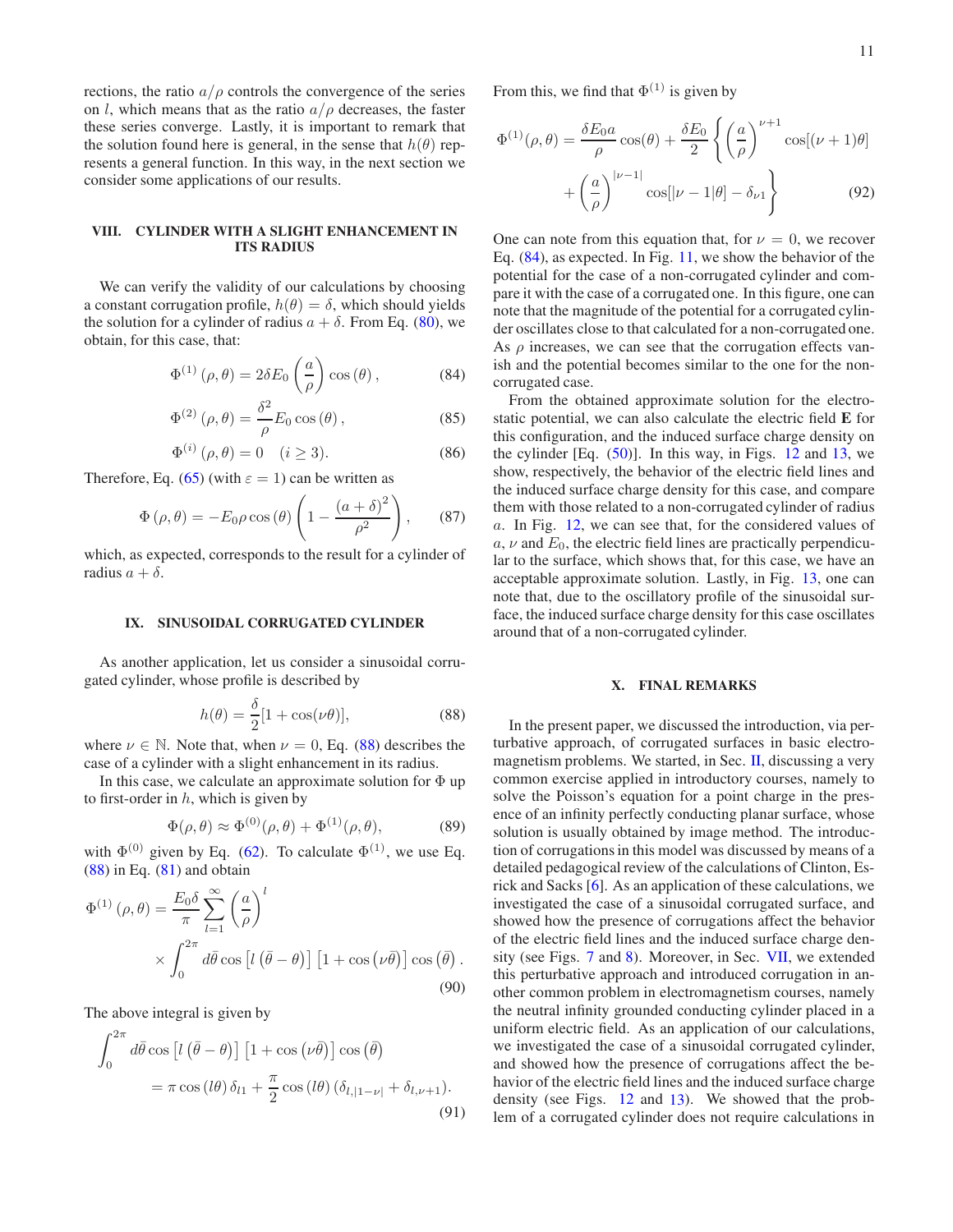rections, the ratio  $a/\rho$  controls the convergence of the series on l, which means that as the ratio  $a/\rho$  decreases, the faster these series converge. Lastly, it is important to remark that the solution found here is general, in the sense that  $h(\theta)$  represents a general function. In this way, in the next section we consider some applications of our results.

# <span id="page-10-0"></span>VIII. CYLINDER WITH A SLIGHT ENHANCEMENT IN ITS RADIUS

We can verify the validity of our calculations by choosing a constant corrugation profile,  $h(\theta) = \delta$ , which should yields the solution for a cylinder of radius  $a + \delta$ . From Eq. [\(80\)](#page-9-3), we obtain, for this case, that:

$$
\Phi^{(1)}\left(\rho,\theta\right) = 2\delta E_0\left(\frac{a}{\rho}\right)\cos\left(\theta\right),\tag{84}
$$

$$
\Phi^{(2)}\left(\rho,\theta\right) = \frac{\delta^2}{\rho} E_0 \cos\left(\theta\right),\tag{85}
$$

$$
\Phi^{(i)}\left(\rho,\theta\right) = 0 \quad (i \ge 3). \tag{86}
$$

Therefore, Eq. [\(65\)](#page-8-1) (with  $\varepsilon = 1$ ) can be written as

$$
\Phi\left(\rho,\theta\right) = -E_0\rho\cos\left(\theta\right)\left(1 - \frac{\left(a+\delta\right)^2}{\rho^2}\right),\qquad(87)
$$

which, as expected, corresponds to the result for a cylinder of radius  $a + \delta$ .

## <span id="page-10-1"></span>IX. SINUSOIDAL CORRUGATED CYLINDER

As another application, let us consider a sinusoidal corrugated cylinder, whose profile is described by

<span id="page-10-3"></span>
$$
h(\theta) = \frac{\delta}{2} [1 + \cos(\nu \theta)], \qquad (88)
$$

where  $\nu \in \mathbb{N}$ . Note that, when  $\nu = 0$ , Eq. [\(88\)](#page-10-3) describes the case of a cylinder with a slight enhancement in its radius.

In this case, we calculate an approximate solution for  $\Phi$  up to first-order in  $h$ , which is given by

$$
\Phi(\rho,\theta) \approx \Phi^{(0)}(\rho,\theta) + \Phi^{(1)}(\rho,\theta),\tag{89}
$$

with  $\Phi^{(0)}$  given by Eq. [\(62\)](#page-7-8). To calculate  $\Phi^{(1)}$ , we use Eq.  $(88)$  in Eq.  $(81)$  and obtain

$$
\Phi^{(1)}(\rho,\theta) = \frac{E_0 \delta}{\pi} \sum_{l=1}^{\infty} \left(\frac{a}{\rho}\right)^l
$$
  
 
$$
\times \int_0^{2\pi} d\bar{\theta} \cos\left[l\left(\bar{\theta} - \theta\right)\right] \left[1 + \cos\left(\nu \bar{\theta}\right)\right] \cos\left(\bar{\theta}\right).
$$
(90)

The above integral is given by

$$
\int_0^{2\pi} d\bar{\theta} \cos \left[l \left(\bar{\theta} - \theta\right)\right] \left[1 + \cos\left(\nu \bar{\theta}\right)\right] \cos\left(\bar{\theta}\right)
$$

$$
= \pi \cos\left(l\theta\right) \delta_{l1} + \frac{\pi}{2} \cos\left(l\theta\right) \left(\delta_{l,|1-\nu|} + \delta_{l,\nu+1}\right). \tag{91}
$$

From this, we find that  $\Phi^{(1)}$  is given by

$$
\Phi^{(1)}(\rho,\theta) = \frac{\delta E_0 a}{\rho} \cos(\theta) + \frac{\delta E_0}{2} \left\{ \left(\frac{a}{\rho}\right)^{\nu+1} \cos[(\nu+1)\theta] + \left(\frac{a}{\rho}\right)^{|\nu-1|} \cos[(\nu-1)\theta] - \delta_{\nu 1} \right\}
$$
(92)

One can note from this equation that, for  $\nu = 0$ , we recover Eq. [\(84\)](#page-10-4), as expected. In Fig. [11,](#page-11-1) we show the behavior of the potential for the case of a non-corrugated cylinder and compare it with the case of a corrugated one. In this figure, one can note that the magnitude of the potential for a corrugated cylinder oscillates close to that calculated for a non-corrugated one. As  $\rho$  increases, we can see that the corrugation effects vanish and the potential becomes similar to the one for the noncorrugated case.

<span id="page-10-4"></span>From the obtained approximate solution for the electrostatic potential, we can also calculate the electric field E for this configuration, and the induced surface charge density on the cylinder [Eq.  $(50)$ ]. In this way, in Figs. [12](#page-11-2) and [13,](#page-12-1) we show, respectively, the behavior of the electric field lines and the induced surface charge density for this case, and compare them with those related to a non-corrugated cylinder of radius a. In Fig. [12,](#page-11-2) we can see that, for the considered values of  $a, \nu$  and  $E_0$ , the electric field lines are practically perpendicular to the surface, which shows that, for this case, we have an acceptable approximate solution. Lastly, in Fig. [13,](#page-12-1) one can note that, due to the oscillatory profile of the sinusoidal surface, the induced surface charge density for this case oscillates around that of a non-corrugated cylinder.

# <span id="page-10-2"></span>X. FINAL REMARKS

In the present paper, we discussed the introduction, via perturbative approach, of corrugated surfaces in basic electro-magnetism problems. We started, in Sec. [II,](#page-1-0) discussing a very common exercise applied in introductory courses, namely to solve the Poisson's equation for a point charge in the presence of an infinity perfectly conducting planar surface, whose solution is usually obtained by image method. The introduction of corrugations in this model was discussed by means of a detailed pedagogical review of the calculations of Clinton, Esrick and Sacks [\[6\]](#page-13-5). As an application of these calculations, we investigated the case of a sinusoidal corrugated surface, and showed how the presence of corrugations affect the behavior of the electric field lines and the induced surface charge density (see Figs. [7](#page-6-1) and [8\)](#page-7-1). Moreover, in Sec. [VII,](#page-7-0) we extended this perturbative approach and introduced corrugation in another common problem in electromagnetism courses, namely the neutral infinity grounded conducting cylinder placed in a uniform electric field. As an application of our calculations, we investigated the case of a sinusoidal corrugated cylinder, and showed how the presence of corrugations affect the behavior of the electric field lines and the induced surface charge density (see Figs. [12](#page-11-2) and [13\)](#page-12-1). We showed that the problem of a corrugated cylinder does not require calculations in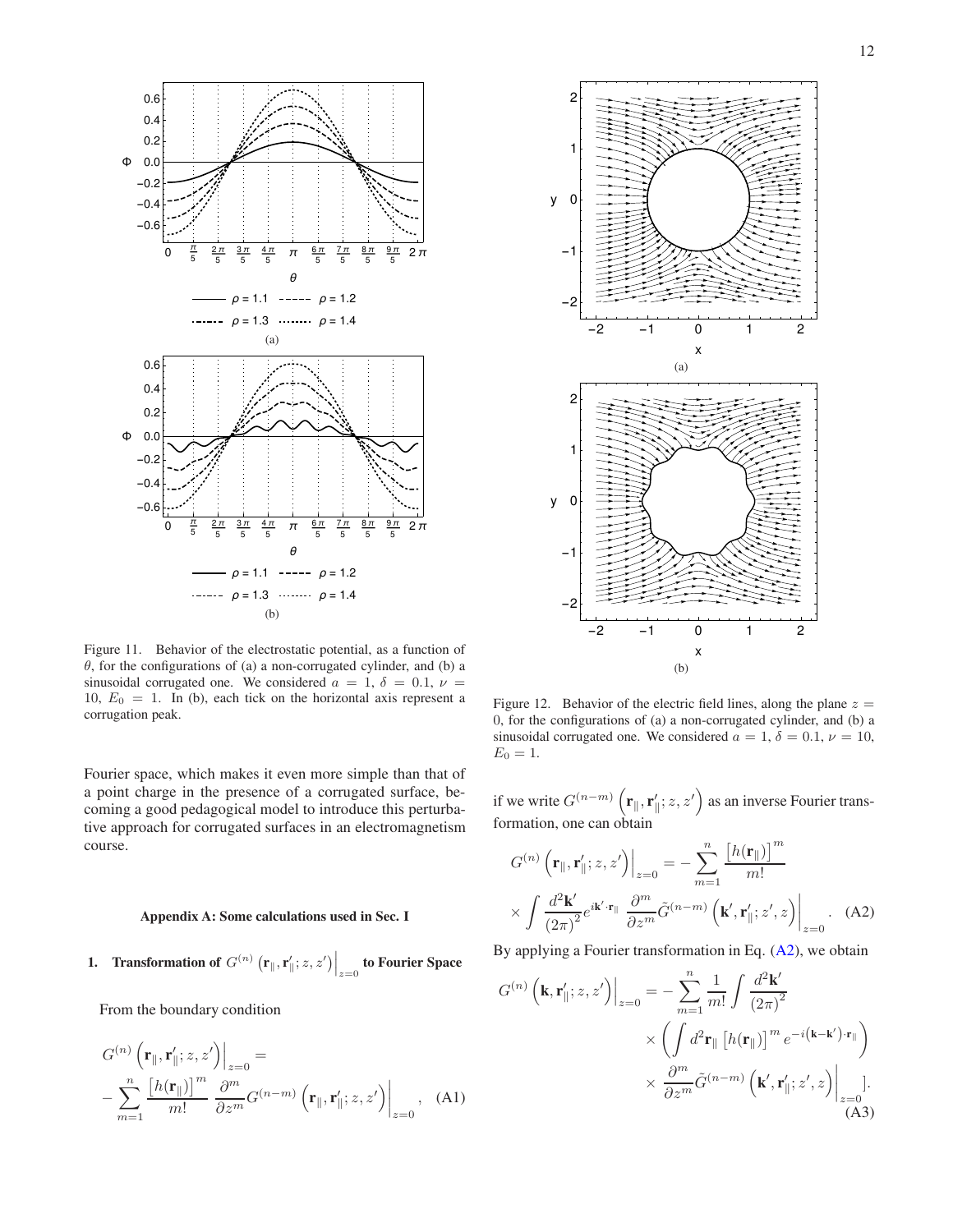

<span id="page-11-1"></span>Figure 11. Behavior of the electrostatic potential, as a function of  $\theta$ , for the configurations of (a) a non-corrugated cylinder, and (b) a sinusoidal corrugated one. We considered  $\alpha = 1, \delta = 0.1, \nu =$ 10,  $E_0 = 1$ . In (b), each tick on the horizontal axis represent a corrugation peak.

Fourier space, which makes it even more simple than that of a point charge in the presence of a corrugated surface, becoming a good pedagogical model to introduce this perturbative approach for corrugated surfaces in an electromagnetism course.

# Appendix A: Some calculations used in Sec. I

<span id="page-11-0"></span>**1.** Transformation of  $G^{(n)}\left(\mathbf{r}_{\parallel}, \mathbf{r}_{\parallel}'; z, z'\right)\Big|_{z=0}$  to Fourier Space

From the boundary condition

$$
G^{(n)}\left(\mathbf{r}_{\parallel},\mathbf{r}_{\parallel}';z,z'\right)\Big|_{z=0} = -\sum_{m=1}^{n} \frac{\left[h(\mathbf{r}_{\parallel})\right]^{m}}{m!} \frac{\partial^{m}}{\partial z^{m}} G^{(n-m)}\left(\mathbf{r}_{\parallel},\mathbf{r}_{\parallel}';z,z'\right)\Big|_{z=0}, \quad \text{(A1)}
$$



<span id="page-11-2"></span>Figure 12. Behavior of the electric field lines, along the plane  $z =$ 0, for the configurations of (a) a non-corrugated cylinder, and (b) a sinusoidal corrugated one. We considered  $a = 1$ ,  $\delta = 0.1$ ,  $\nu = 10$ ,  $E_0 = 1.$ 

if we write  $G^{(n-m)}\left(\mathbf{r}_{\parallel},\mathbf{r}_{\parallel}';z,z'\right)$  as an inverse Fourier transformation, one can obtain

<span id="page-11-3"></span>
$$
G^{(n)}\left(\mathbf{r}_{\parallel},\mathbf{r}'_{\parallel};z,z'\right)\Big|_{z=0} = -\sum_{m=1}^{n} \frac{\left[h(\mathbf{r}_{\parallel})\right]^{m}}{m!}
$$

$$
\times \int \frac{d^{2}\mathbf{k}'}{\left(2\pi\right)^{2}} e^{i\mathbf{k}'\cdot\mathbf{r}_{\parallel}} \frac{\partial^{m}}{\partial z^{m}} \tilde{G}^{(n-m)}\left(\mathbf{k}',\mathbf{r}'_{\parallel};z',z\right)\Big|_{z=0}.
$$
 (A2)

By applying a Fourier transformation in Eq. [\(A2\)](#page-11-3), we obtain

<span id="page-11-4"></span>
$$
G^{(n)}\left(\mathbf{k},\mathbf{r}_{\parallel}';z,z'\right)\Big|_{z=0} = -\sum_{m=1}^{n} \frac{1}{m!} \int \frac{d^{2}\mathbf{k}'}{(2\pi)^{2}}\times \left(\int d^{2}\mathbf{r}_{\parallel} \left[h(\mathbf{r}_{\parallel})\right]^{m} e^{-i(\mathbf{k}-\mathbf{k}')\cdot\mathbf{r}_{\parallel}}\right)\times \frac{\partial^{m}}{\partial z^{m}} \tilde{G}^{(n-m)}\left(\mathbf{k}',\mathbf{r}_{\parallel}';z',z\right)\Big|_{z=0}\Big|_{(A3)}
$$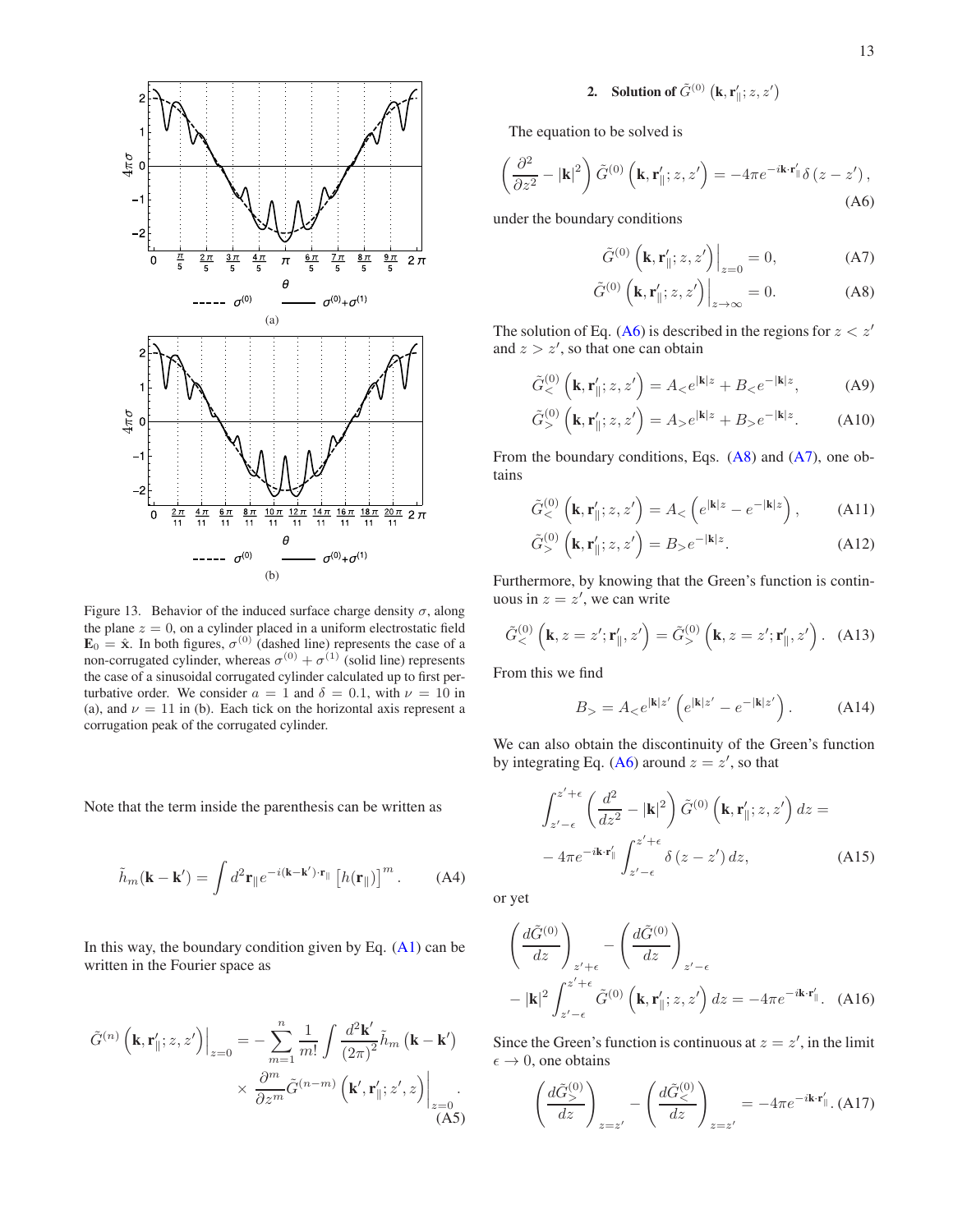

<span id="page-12-1"></span>Figure 13. Behavior of the induced surface charge density  $\sigma$ , along the plane  $z = 0$ , on a cylinder placed in a uniform electrostatic field  $\mathbf{E}_0 = \hat{\mathbf{x}}$ . In both figures,  $\sigma^{(0)}$  (dashed line) represents the case of a non-corrugated cylinder, whereas  $\sigma^{(0)} + \sigma^{(1)}$  (solid line) represents the case of a sinusoidal corrugated cylinder calculated up to first perturbative order. We consider  $a = 1$  and  $\delta = 0.1$ , with  $\nu = 10$  in (a), and  $\nu = 11$  in (b). Each tick on the horizontal axis represent a corrugation peak of the corrugated cylinder.

Note that the term inside the parenthesis can be written as

$$
\tilde{h}_m(\mathbf{k} - \mathbf{k}') = \int d^2 \mathbf{r}_{\parallel} e^{-i(\mathbf{k} - \mathbf{k}') \cdot \mathbf{r}_{\parallel}} \left[ h(\mathbf{r}_{\parallel}) \right]^m.
$$
 (A4)

In this way, the boundary condition given by Eq.  $(A1)$  can be written in the Fourier space as

$$
\tilde{G}^{(n)}\left(\mathbf{k},\mathbf{r}_{\parallel}';z,z'\right)\Big|_{z=0} = -\sum_{m=1}^{n} \frac{1}{m!} \int \frac{d^{2}\mathbf{k}'}{(2\pi)^{2}} \tilde{h}_{m}\left(\mathbf{k}-\mathbf{k}'\right)
$$

$$
\times \frac{\partial^{m}}{\partial z^{m}} \tilde{G}^{(n-m)}\left(\mathbf{k}',\mathbf{r}_{\parallel}';z',z\right)\Big|_{z=0}.
$$
\n(A5)

# <span id="page-12-0"></span>**2.** Solution of  $\tilde{G}^{(0)}\left(\mathbf{k}, \mathbf{r}_{\parallel}'; z, z'\right)$

The equation to be solved is

<span id="page-12-2"></span>
$$
\left(\frac{\partial^2}{\partial z^2} - |\mathbf{k}|^2\right) \tilde{G}^{(0)}\left(\mathbf{k}, \mathbf{r}'_{\parallel}; z, z'\right) = -4\pi e^{-i\mathbf{k}\cdot\mathbf{r}'_{\parallel}} \delta\left(z - z'\right),\tag{A6}
$$

under the boundary conditions

<span id="page-12-4"></span><span id="page-12-3"></span>
$$
\tilde{G}^{(0)}\left(\mathbf{k}, \mathbf{r}'_{\parallel}; z, z'\right)\Big|_{z=0} = 0, \tag{A7}
$$

$$
\tilde{G}^{(0)}\left(\mathbf{k}, \mathbf{r}_{\parallel}'; z, z'\right)\Big|_{z \to \infty} = 0. \tag{A8}
$$

The solution of Eq. [\(A6\)](#page-12-2) is described in the regions for  $z < z'$ and  $z > z'$ , so that one can obtain

$$
\tilde{G}^{(0)}_{<} \left(\mathbf{k}, \mathbf{r}'_{\parallel}; z, z'\right) = A_{<} e^{\left|\mathbf{k}\right|z} + B_{<} e^{-\left|\mathbf{k}\right|z},\tag{A9}
$$

$$
\tilde{G}_{>}^{(0)}\left(\mathbf{k},\mathbf{r}_{\parallel}';z,z'\right) = A_{>}e^{\left|\mathbf{k}\right|z} + B_{>}e^{-\left|\mathbf{k}\right|z}.\tag{A10}
$$

From the boundary conditions, Eqs. [\(A8\)](#page-12-3) and [\(A7\)](#page-12-4), one obtains

<span id="page-12-5"></span>
$$
\tilde{G}_{<}^{(0)}\left(\mathbf{k},\mathbf{r}_{\parallel}';z,z'\right) = A_{<} \left(e^{\left|\mathbf{k}\right|z} - e^{-\left|\mathbf{k}\right|z}\right),\tag{A11}
$$

<span id="page-12-6"></span>
$$
\tilde{G}_{>}^{(0)}\left(\mathbf{k},\mathbf{r}_{\parallel}';z,z'\right) = B_{>}e^{-|\mathbf{k}|z}.\tag{A12}
$$

Furthermore, by knowing that the Green's function is continuous in  $z = z'$ , we can write

$$
\tilde{G}^{(0)}_{\leq}\left(\mathbf{k}, z=z'; \mathbf{r}'_{\parallel}, z'\right)=\tilde{G}^{(0)}_{>} \left(\mathbf{k}, z=z'; \mathbf{r}'_{\parallel}, z'\right). \tag{A13}
$$

From this we find

<span id="page-12-7"></span>
$$
B_{>} = A_{<} e^{|{\bf k}|z'} \left( e^{|{\bf k}|z'} - e^{-|{\bf k}|z'} \right). \tag{A14}
$$

We can also obtain the discontinuity of the Green's function by integrating Eq. [\(A6\)](#page-12-2) around  $z = z'$ , so that

$$
\int_{z'-\epsilon}^{z'+\epsilon} \left(\frac{d^2}{dz^2} - |\mathbf{k}|^2\right) \tilde{G}^{(0)}\left(\mathbf{k}, \mathbf{r}'_{\parallel}; z, z'\right) dz =
$$

$$
-4\pi e^{-i\mathbf{k}\cdot\mathbf{r}'_{\parallel}} \int_{z'-\epsilon}^{z'+\epsilon} \delta(z-z') dz,
$$
(A15)

or yet

$$
\left(\frac{d\tilde{G}^{(0)}}{dz}\right)_{z'+\epsilon} - \left(\frac{d\tilde{G}^{(0)}}{dz}\right)_{z'-\epsilon}
$$
\n
$$
- |\mathbf{k}|^2 \int_{z'-\epsilon}^{z'+\epsilon} \tilde{G}^{(0)}\left(\mathbf{k}, \mathbf{r}'_{\parallel}; z, z'\right) dz = -4\pi e^{-i\mathbf{k}\cdot\mathbf{r}'_{\parallel}}. \quad \text{(A16)}
$$

Since the Green's function is continuous at  $z = z'$ , in the limit  $\epsilon \to 0$ , one obtains

$$
\left(\frac{d\tilde{G}_{>}^{(0)}}{dz}\right)_{z=z'} - \left(\frac{d\tilde{G}_{<}^{(0)}}{dz}\right)_{z=z'} = -4\pi e^{-i\mathbf{k}\cdot\mathbf{r}'_{\parallel}}.\,\text{(A17)}
$$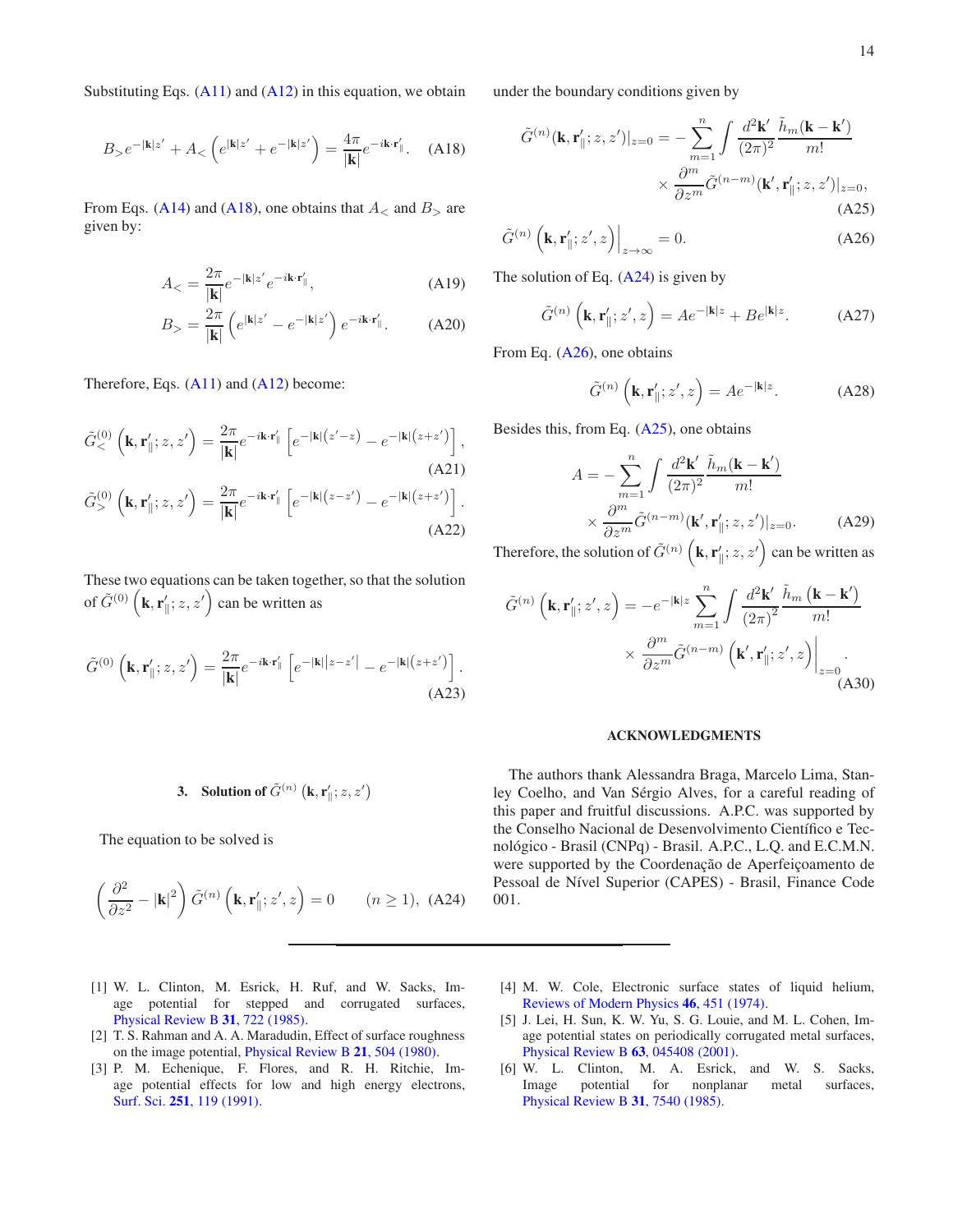Substituting Eqs.  $(A11)$  and  $(A12)$  in this equation, we obtain

<span id="page-13-7"></span>
$$
B_{>}e^{-|\mathbf{k}|z'} + A_{<} \left(e^{|\mathbf{k}|z'} + e^{-|\mathbf{k}|z'}\right) = \frac{4\pi}{|\mathbf{k}|}e^{-i\mathbf{k}\cdot\mathbf{r}'_{\parallel}}.\tag{A18}
$$

From Eqs. [\(A14\)](#page-12-7) and [\(A18\)](#page-13-7), one obtains that  $A<$  and  $B<sub>></sub>$  are given by:

$$
A_{<} = \frac{2\pi}{|\mathbf{k}|} e^{-|\mathbf{k}|z'} e^{-i\mathbf{k}\cdot\mathbf{r}'_{\parallel}},\tag{A19}
$$

$$
B_{>} = \frac{2\pi}{|\mathbf{k}|} \left( e^{|\mathbf{k}|z'} - e^{-|\mathbf{k}|z'} \right) e^{-i\mathbf{k} \cdot \mathbf{r}'_{\parallel}}.
$$
 (A20)

Therefore, Eqs. [\(A11\)](#page-12-5) and [\(A12\)](#page-12-6) become:

$$
\tilde{G}_{<}^{(0)}\left(\mathbf{k},\mathbf{r}_{\parallel}';z,z'\right) = \frac{2\pi}{|\mathbf{k}|}e^{-i\mathbf{k}\cdot\mathbf{r}_{\parallel}'}\left[e^{-|\mathbf{k}|(z'-z)} - e^{-|\mathbf{k}|(z+z')}\right],\tag{A21}
$$
\n
$$
\tilde{G}_{>}^{(0)}\left(\mathbf{k},\mathbf{r}_{\parallel}';z,z'\right) = \frac{2\pi}{\pi}e^{-i\mathbf{k}\cdot\mathbf{r}_{\parallel}'}\left[e^{-|\mathbf{k}|(z-z')}-e^{-|\mathbf{k}|(z+z')}\right].
$$

$$
\tilde{G}_{>}^{(0)}\left(\mathbf{k},\mathbf{r}_{\parallel}';z,z'\right) = \frac{2\pi}{|\mathbf{k}|}e^{-i\mathbf{k}\cdot\mathbf{r}_{\parallel}'}\left[e^{-|\mathbf{k}|(z-z')} - e^{-|\mathbf{k}|(z+z')}\right].\tag{A22}
$$

These two equations can be taken together, so that the solution of  $\tilde{G}^{(0)}\left(\mathbf{k},\mathbf{r}_{\parallel}';z,z'\right)$  can be written as

$$
\tilde{G}^{(0)}\left(\mathbf{k},\mathbf{r}_{\parallel}';z,z'\right) = \frac{2\pi}{|\mathbf{k}|}e^{-i\mathbf{k}\cdot\mathbf{r}_{\parallel}'}\left[e^{-|\mathbf{k}||z-z'|} - e^{-|\mathbf{k}|(z+z')}\right].\tag{A23}
$$

<span id="page-13-6"></span>3. Solution of 
$$
\tilde{G}^{(n)}\left(\mathbf{k},\mathbf{r}_{\parallel}';z,z'\right)
$$

The equation to be solved is

<span id="page-13-8"></span>
$$
\left(\frac{\partial^2}{\partial z^2} - |\mathbf{k}|^2\right) \tilde{G}^{(n)}\left(\mathbf{k}, \mathbf{r}'_{\parallel}; z', z\right) = 0 \qquad (n \ge 1), \text{ (A24)}
$$

under the boundary conditions given by

$$
\tilde{G}^{(n)}(\mathbf{k}, \mathbf{r}'_{\parallel}; z, z')|_{z=0} = -\sum_{m=1}^{n} \int \frac{d^2 \mathbf{k}'}{(2\pi)^2} \frac{\tilde{h}_m(\mathbf{k} - \mathbf{k}')}{m!} \times \frac{\partial^m}{\partial z^m} \tilde{G}^{(n-m)}(\mathbf{k}', \mathbf{r}'_{\parallel}; z, z')|_{z=0},
$$
\n(A25)

$$
\tilde{G}^{(n)}\left(\mathbf{k},\mathbf{r}_{\parallel}';z',z\right)\Big|_{z\to\infty}=0.\tag{A26}
$$

The solution of Eq.  $(A24)$  is given by

$$
\tilde{G}^{(n)}\left(\mathbf{k}, \mathbf{r}_{\parallel}'; z', z\right) = A e^{-|\mathbf{k}|z} + B e^{|\mathbf{k}|z}.\tag{A27}
$$

From Eq. [\(A26\)](#page-13-9), one obtains

<span id="page-13-10"></span><span id="page-13-9"></span>
$$
\tilde{G}^{(n)}\left(\mathbf{k}, \mathbf{r}_{\parallel}'; z', z\right) = A e^{-|\mathbf{k}|z}.\tag{A28}
$$

Besides this, from Eq. [\(A25\)](#page-13-10), one obtains

$$
A = -\sum_{m=1}^{n} \int \frac{d^2 \mathbf{k}'}{(2\pi)^2} \frac{\tilde{h}_m(\mathbf{k} - \mathbf{k}')}{m!}
$$

$$
\times \frac{\partial^m}{\partial z^m} \tilde{G}^{(n-m)}(\mathbf{k}', \mathbf{r}'_{\parallel}; z, z')|_{z=0}.
$$
 (A29)

Therefore, the solution of  $\tilde{G}^{(n)}\left(\mathbf{k},\mathbf{r}_{\parallel}';z,z'\right)$  can be written as

$$
\tilde{G}^{(n)}\left(\mathbf{k},\mathbf{r}_{\parallel}';z',z\right) = -e^{-|\mathbf{k}|z} \sum_{m=1}^{n} \int \frac{d^2 \mathbf{k}'}{(2\pi)^2} \frac{\tilde{h}_m\left(\mathbf{k} - \mathbf{k}'\right)}{m!} \times \frac{\partial^m}{\partial z^m} \tilde{G}^{(n-m)}\left(\mathbf{k}',\mathbf{r}_{\parallel}';z',z\right)\Big|_{z=0}.
$$
\n(A30)

## ACKNOWLEDGMENTS

The authors thank Alessandra Braga, Marcelo Lima, Stanley Coelho, and Van Sérgio Alves, for a careful reading of this paper and fruitful discussions. A.P.C. was supported by the Conselho Nacional de Desenvolvimento Científico e Tecnológico - Brasil (CNPq) - Brasil. A.P.C., L.Q. and E.C.M.N. were supported by the Coordenação de Aperfeiçoamento de Pessoal de Nível Superior (CAPES) - Brasil, Finance Code 001.

- <span id="page-13-0"></span>[1] W. L. Clinton, M. Esrick, H. Ruf, and W. Sacks, Image potential for stepped and corrugated surfaces, [Physical Review B](https://doi.org/10.1103/PhysRevB.31.722) 31, 722 (1985).
- <span id="page-13-1"></span>[2] T. S. Rahman and A. A. Maradudin, Effect of surface roughness on the image potential, [Physical Review B](https://doi.org/10.1103/PhysRevB.21.504) 21, 504 (1980).
- <span id="page-13-2"></span>[3] P. M. Echenique, F. Flores, and R. H. Ritchie, Image potential effects for low and high energy electrons, Surf. Sci. 251[, 119 \(1991\).](https://doi.org/10.1016/0039-6028(91)90965-U)
- <span id="page-13-3"></span>[4] M. W. Cole, Electronic surface states of liquid helium, [Reviews of Modern Physics](https://doi.org/10.1103/RevModPhys.46.451) 46, 451 (1974).
- <span id="page-13-4"></span>[5] J. Lei, H. Sun, K. W. Yu, S. G. Louie, and M. L. Cohen, Image potential states on periodically corrugated metal surfaces, [Physical Review B](https://doi.org/10.1103/PhysRevB.63.045408) 63, 045408 (2001).
- <span id="page-13-5"></span>[6] W. L. Clinton, M. A. Esrick, and W. S. Sacks, Image potential for nonplanar metal surfaces, [Physical Review B](https://doi.org/10.1103/PhysRevB.31.7540) 31, 7540 (1985).